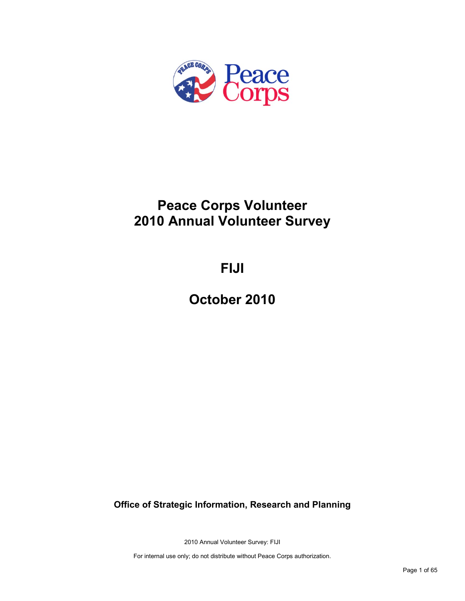

# **Peace Corps Volunteer 2010 Annual Volunteer Survey**

# **FIJI**

**October 2010**

**Office of Strategic Information, Research and Planning**

2010 Annual Volunteer Survey: FIJI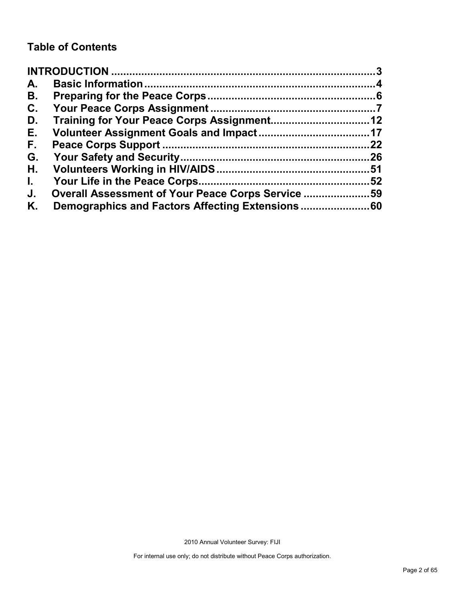# **Table of Contents**

| A.           |                                                   |    |
|--------------|---------------------------------------------------|----|
| В.           |                                                   |    |
| C.           |                                                   |    |
| D.           |                                                   |    |
| Е.           |                                                   |    |
| F.           |                                                   | 22 |
| G.           |                                                   |    |
| Н.           |                                                   |    |
| $\mathbf{L}$ |                                                   | 52 |
| J.           | Overall Assessment of Your Peace Corps Service 59 |    |
| Κ.           |                                                   |    |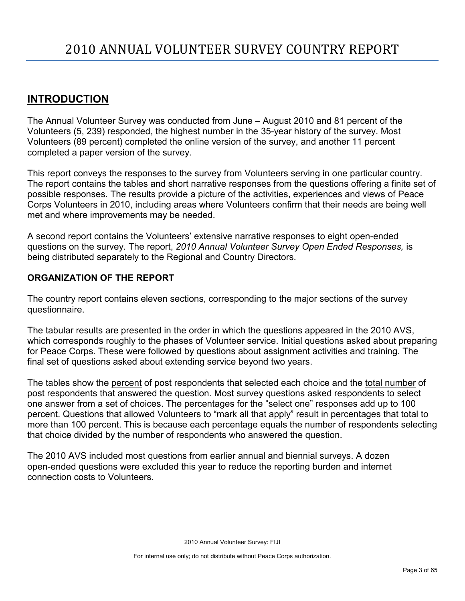# <span id="page-2-0"></span>**INTRODUCTION**

The Annual Volunteer Survey was conducted from June – August 2010 and 81 percent of the Volunteers (5, 239) responded, the highest number in the 35-year history of the survey. Most Volunteers (89 percent) completed the online version of the survey, and another 11 percent completed a paper version of the survey.

This report conveys the responses to the survey from Volunteers serving in one particular country. The report contains the tables and short narrative responses from the questions offering a finite set of possible responses. The results provide a picture of the activities, experiences and views of Peace Corps Volunteers in 2010, including areas where Volunteers confirm that their needs are being well met and where improvements may be needed.

A second report contains the Volunteers' extensive narrative responses to eight open-ended questions on the survey. The report, *2010 Annual Volunteer Survey Open Ended Responses,* is being distributed separately to the Regional and Country Directors.

# **ORGANIZATION OF THE REPORT**

The country report contains eleven sections, corresponding to the major sections of the survey questionnaire.

The tabular results are presented in the order in which the questions appeared in the 2010 AVS, which corresponds roughly to the phases of Volunteer service. Initial questions asked about preparing for Peace Corps. These were followed by questions about assignment activities and training. The final set of questions asked about extending service beyond two years.

The tables show the percent of post respondents that selected each choice and the total number of post respondents that answered the question. Most survey questions asked respondents to select one answer from a set of choices. The percentages for the "select one" responses add up to 100 percent. Questions that allowed Volunteers to "mark all that apply" result in percentages that total to more than 100 percent. This is because each percentage equals the number of respondents selecting that choice divided by the number of respondents who answered the question.

The 2010 AVS included most questions from earlier annual and biennial surveys. A dozen open-ended questions were excluded this year to reduce the reporting burden and internet connection costs to Volunteers.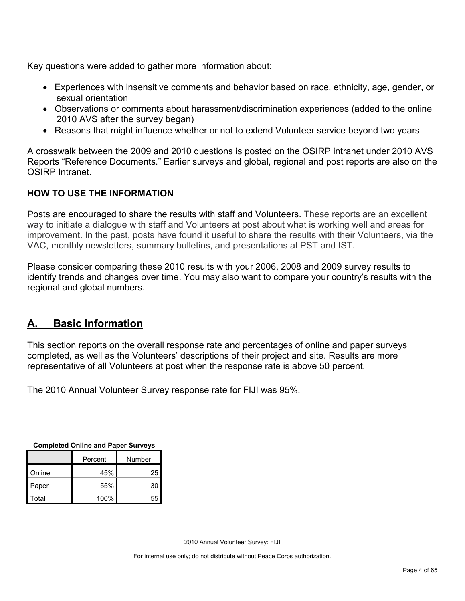Key questions were added to gather more information about:

- Experiences with insensitive comments and behavior based on race, ethnicity, age, gender, or sexual orientation
- Observations or comments about harassment/discrimination experiences (added to the online 2010 AVS after the survey began)
- Reasons that might influence whether or not to extend Volunteer service beyond two years

A crosswalk between the 2009 and 2010 questions is posted on the OSIRP intranet under 2010 AVS Reports "Reference Documents." Earlier surveys and global, regional and post reports are also on the OSIRP Intranet.

# **HOW TO USE THE INFORMATION**

Posts are encouraged to share the results with staff and Volunteers. These reports are an excellent way to initiate a dialogue with staff and Volunteers at post about what is working well and areas for improvement. In the past, posts have found it useful to share the results with their Volunteers, via the VAC, monthly newsletters, summary bulletins, and presentations at PST and IST.

Please consider comparing these 2010 results with your 2006, 2008 and 2009 survey results to identify trends and changes over time. You may also want to compare your country's results with the regional and global numbers.

# <span id="page-3-0"></span>**A. Basic Information**

This section reports on the overall response rate and percentages of online and paper surveys completed, as well as the Volunteers' descriptions of their project and site. Results are more representative of all Volunteers at post when the response rate is above 50 percent.

The 2010 Annual Volunteer Survey response rate for FIJI was 95%.

| <b>Completed Online and Paper Surveys</b> |
|-------------------------------------------|
|-------------------------------------------|

|        | Percent | Number |
|--------|---------|--------|
| Online | 45%     | 25     |
| Paper  | 55%     | 30     |
| Total  | 100%    | 55     |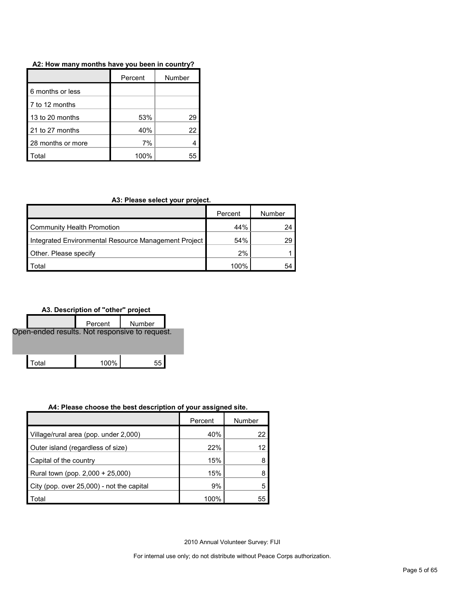| A2: How many months have you been in country? |  |
|-----------------------------------------------|--|
|-----------------------------------------------|--|

|                   | Percent | Number |  |
|-------------------|---------|--------|--|
| 6 months or less  |         |        |  |
| 7 to 12 months    |         |        |  |
| 13 to 20 months   | 53%     | 29     |  |
| 21 to 27 months   | 40%     | 22     |  |
| 28 months or more | 7%      |        |  |
| otal.             | 100%    |        |  |

#### **A3: Please select your project.**

|                                                      | Percent | Number |
|------------------------------------------------------|---------|--------|
| <b>Community Health Promotion</b>                    | 44%     | 24     |
| Integrated Environmental Resource Management Project | 54%     | 29     |
| Other. Please specify                                | 2%      |        |
| <sup>-</sup> otal                                    | 100%    | 54     |



#### **A4: Please choose the best description of your assigned site.**

|                                           | Percent | Number |
|-------------------------------------------|---------|--------|
| Village/rural area (pop. under 2,000)     | 40%     | 22     |
| Outer island (regardless of size)         | 22%     | 12     |
| Capital of the country                    | 15%     |        |
| Rural town (pop. 2,000 + 25,000)          | 15%     |        |
| City (pop. over 25,000) - not the capital | 9%      |        |
| Total                                     | 100%    | 55     |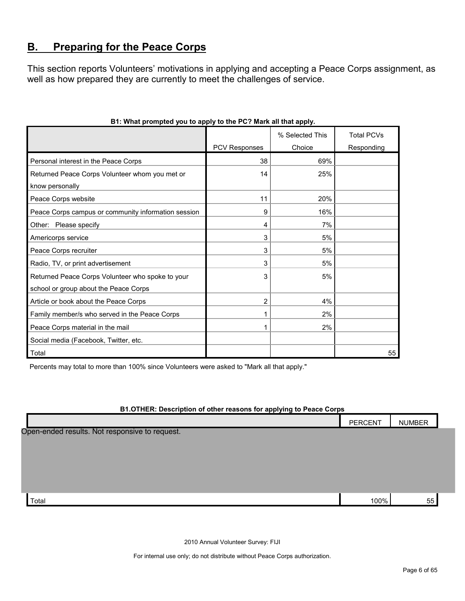# <span id="page-5-0"></span>**B. Preparing for the Peace Corps**

This section reports Volunteers' motivations in applying and accepting a Peace Corps assignment, as well as how prepared they are currently to meet the challenges of service.

|                                                     |                      | % Selected This | <b>Total PCVs</b> |
|-----------------------------------------------------|----------------------|-----------------|-------------------|
|                                                     | <b>PCV Responses</b> | Choice          | Responding        |
| Personal interest in the Peace Corps                | 38                   | 69%             |                   |
| Returned Peace Corps Volunteer whom you met or      | 14                   | 25%             |                   |
| know personally                                     |                      |                 |                   |
| Peace Corps website                                 | 11                   | 20%             |                   |
| Peace Corps campus or community information session | 9                    | 16%             |                   |
| Other: Please specify                               | 4                    | 7%              |                   |
| Americorps service                                  | 3                    | 5%              |                   |
| Peace Corps recruiter                               | 3                    | 5%              |                   |
| Radio, TV, or print advertisement                   | 3                    | 5%              |                   |
| Returned Peace Corps Volunteer who spoke to your    | 3                    | 5%              |                   |
| school or group about the Peace Corps               |                      |                 |                   |
| Article or book about the Peace Corps               | 2                    | 4%              |                   |
| Family member/s who served in the Peace Corps       | 1                    | 2%              |                   |
| Peace Corps material in the mail                    |                      | 2%              |                   |
| Social media (Facebook, Twitter, etc.               |                      |                 |                   |
| Total                                               |                      |                 | 55                |

# **B1: What prompted you to apply to the PC? Mark all that apply.**

Percents may total to more than 100% since Volunteers were asked to "Mark all that apply."

## **B1.OTHER: Description of other reasons for applying to Peace Corps**

|                                                | <b>PERCENT</b> | <b>NUMBER</b> |
|------------------------------------------------|----------------|---------------|
| Open-ended results. Not responsive to request. |                |               |
|                                                |                |               |
|                                                |                |               |
|                                                |                |               |
| Total                                          | 100%           | 55            |

2010 Annual Volunteer Survey: FIJI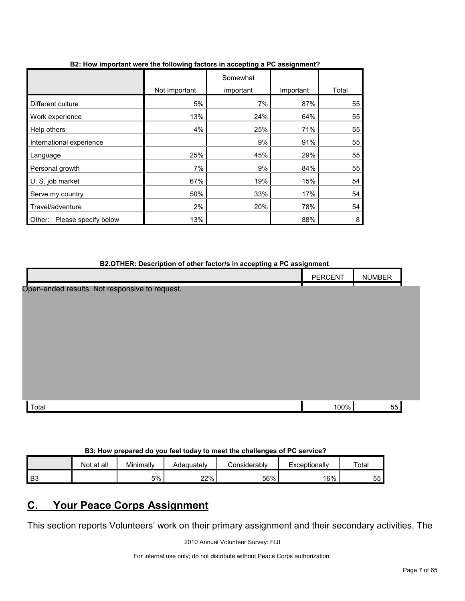|                                |               | Somewhat  |           |       |
|--------------------------------|---------------|-----------|-----------|-------|
|                                | Not Important | important | Important | Total |
| Different culture              | 5%            | 7%        | 87%       | 55    |
| Work experience                | 13%           | 24%       | 64%       | 55    |
| Help others                    | 4%            | 25%       | 71%       | 55    |
| International experience       |               | 9%        | 91%       | 55    |
| Language                       | 25%           | 45%       | 29%       | 55    |
| Personal growth                | 7%            | 9%        | 84%       | 55    |
| U. S. job market               | 67%           | 19%       | 15%       | 54    |
| Serve my country               | 50%           | 33%       | 17%       | 54    |
| Travel/adventure               | 2%            | 20%       | 78%       | 54    |
| Please specify below<br>Other: | 13%           |           | 88%       | 8     |

## **B2: How important were the following factors in accepting a PC assignment?**

| B2.OTHER: Description of other factor/s in accepting a PC assignment |                |               |  |  |
|----------------------------------------------------------------------|----------------|---------------|--|--|
|                                                                      | <b>PERCENT</b> | <b>NUMBER</b> |  |  |
| Open-ended results. Not responsive to request.                       |                |               |  |  |
| Total                                                                | 100%           | 55            |  |  |

# **B3: How prepared do you feel today to meet the challenges of PC service?**

|                | Not at all | Minimally | Adequately | Considerabl∨ | Exceptionally | Totar     |
|----------------|------------|-----------|------------|--------------|---------------|-----------|
| B <sub>3</sub> |            | 5%        | 22%        | 56%          | 16%           | --<br>55. |

# <span id="page-6-0"></span>**C. Your Peace Corps Assignment**

This section reports Volunteers' work on their primary assignment and their secondary activities. The

2010 Annual Volunteer Survey: FIJI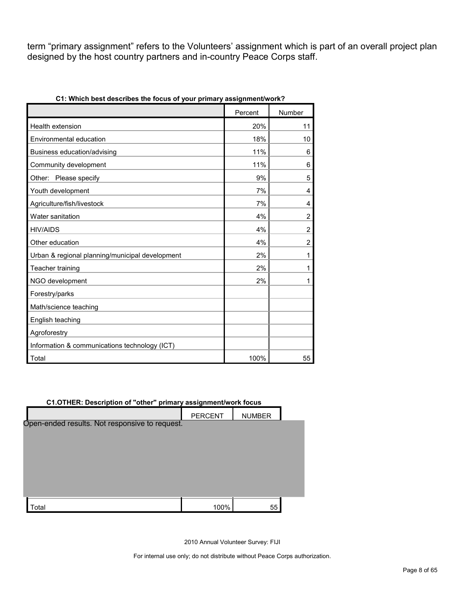term "primary assignment" refers to the Volunteers' assignment which is part of an overall project plan designed by the host country partners and in-country Peace Corps staff.

| $\sim$ and rooms or your primary assign         |         |                |
|-------------------------------------------------|---------|----------------|
|                                                 | Percent | Number         |
| Health extension                                | 20%     | 11             |
| Environmental education                         | 18%     | 10             |
| Business education/advising                     | 11%     | 6              |
| Community development                           | 11%     | 6              |
| Other: Please specify                           | 9%      | 5              |
| Youth development                               | 7%      | 4              |
| Agriculture/fish/livestock                      | 7%      | 4              |
| Water sanitation                                | 4%      | $\overline{2}$ |
| <b>HIV/AIDS</b>                                 | 4%      | $\overline{2}$ |
| Other education                                 | 4%      | $\overline{2}$ |
| Urban & regional planning/municipal development | 2%      | 1              |
| Teacher training                                | 2%      | 1              |
| NGO development                                 | 2%      | 1              |
| Forestry/parks                                  |         |                |
| Math/science teaching                           |         |                |
| English teaching                                |         |                |
| Agroforestry                                    |         |                |
| Information & communications technology (ICT)   |         |                |
| Total                                           | 100%    | 55             |

**C1: Which best describes the focus of your primary assignment/work?**

# **C1.OTHER: Description of "other" primary assignment/work focus** PERCENT | NUMBER Open-ended results. Not responsive to request.

2010 Annual Volunteer Survey: FIJI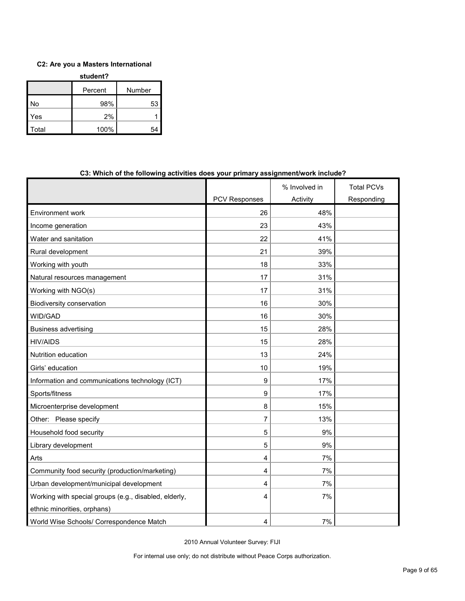# **C2: Are you a Masters International**

| student? |         |        |  |  |
|----------|---------|--------|--|--|
|          | Percent | Number |  |  |
| No       | 98%     | 53     |  |  |
| Yes      | 2%      |        |  |  |
| Total    | 100%    |        |  |  |

|                                                       |                      | % Involved in | <b>Total PCVs</b> |
|-------------------------------------------------------|----------------------|---------------|-------------------|
|                                                       | <b>PCV Responses</b> | Activity      | Responding        |
| Environment work                                      | 26                   | 48%           |                   |
| Income generation                                     | 23                   | 43%           |                   |
| Water and sanitation                                  | 22                   | 41%           |                   |
| Rural development                                     | 21                   | 39%           |                   |
| Working with youth                                    | 18                   | 33%           |                   |
| Natural resources management                          | 17                   | 31%           |                   |
| Working with NGO(s)                                   | 17                   | 31%           |                   |
| Biodiversity conservation                             | 16                   | 30%           |                   |
| WID/GAD                                               | 16                   | 30%           |                   |
| <b>Business advertising</b>                           | 15                   | 28%           |                   |
| <b>HIV/AIDS</b>                                       | 15                   | 28%           |                   |
| Nutrition education                                   | 13                   | 24%           |                   |
| Girls' education                                      | 10                   | 19%           |                   |
| Information and communications technology (ICT)       | 9                    | 17%           |                   |
| Sports/fitness                                        | 9                    | 17%           |                   |
| Microenterprise development                           | 8                    | 15%           |                   |
| Other: Please specify                                 | 7                    | 13%           |                   |
| Household food security                               | 5                    | 9%            |                   |
| Library development                                   | 5                    | 9%            |                   |
| Arts                                                  | 4                    | 7%            |                   |
| Community food security (production/marketing)        | 4                    | 7%            |                   |
| Urban development/municipal development               | 4                    | 7%            |                   |
| Working with special groups (e.g., disabled, elderly, | 4                    | 7%            |                   |
| ethnic minorities, orphans)                           |                      |               |                   |
| World Wise Schools/ Correspondence Match              | 4                    | 7%            |                   |

#### **C3: Which of the following activities does your primary assignment/work include?**

2010 Annual Volunteer Survey: FIJI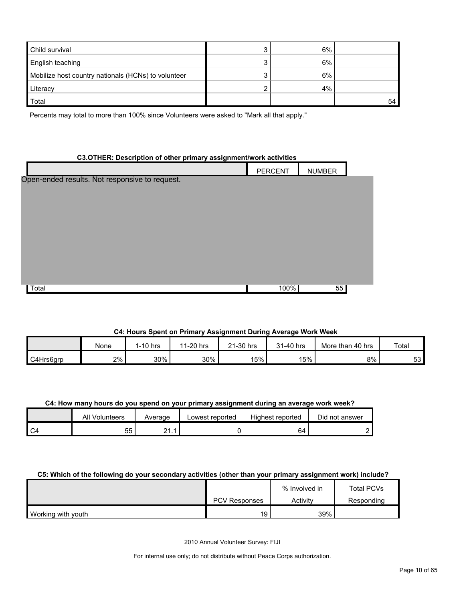| Child survival                                      | 6% |    |
|-----------------------------------------------------|----|----|
| English teaching                                    | 6% |    |
| Mobilize host country nationals (HCNs) to volunteer | 6% |    |
| Literacy                                            | 4% |    |
| Total                                               |    | 54 |

Percents may total to more than 100% since Volunteers were asked to "Mark all that apply."

#### **C3.OTHER: Description of other primary assignment/work activities**

|                                                | <b>PERCENT</b> | <b>NUMBER</b> |  |
|------------------------------------------------|----------------|---------------|--|
| Open-ended results. Not responsive to request. |                |               |  |
|                                                |                |               |  |
|                                                |                |               |  |
|                                                |                |               |  |
|                                                |                |               |  |
|                                                |                |               |  |
|                                                |                |               |  |
|                                                |                |               |  |
| Total                                          | 100%           | 55            |  |
|                                                |                |               |  |

# **C4: Hours Spent on Primary Assignment During Average Work Week**

|           | None  | $1-10$ hrs | 1-20 hrs<br>44 | ∠1-30 hrs | 1-40 hrsک | More than 40 hrs | Total    |
|-----------|-------|------------|----------------|-----------|-----------|------------------|----------|
| C4Hrs6grp | $2\%$ | 30%        | 30%            | 15%       | 15%       | 8%               | c٥<br>ეკ |

#### **C4: How many hours do you spend on your primary assignment during an average work week?**

| All Volunteers | Average | Lowest reported | Highest reported | Did not answer |
|----------------|---------|-----------------|------------------|----------------|
| - -<br>ບບ      | າ1      |                 | 64               |                |

#### **C5: Which of the following do your secondary activities (other than your primary assignment work) include?**

|                    |                      | % Involved in | Total PCVs |
|--------------------|----------------------|---------------|------------|
|                    | <b>PCV Responses</b> | Activity      | Responding |
| Working with youth | 19                   | 39%           |            |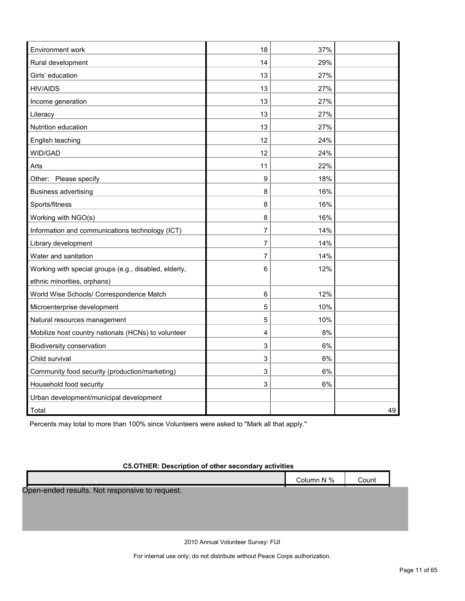| Environment work                                      | 18               | 37% |    |
|-------------------------------------------------------|------------------|-----|----|
| Rural development                                     | 14               | 29% |    |
| Girls' education                                      | 13               | 27% |    |
| <b>HIV/AIDS</b>                                       | 13               | 27% |    |
| Income generation                                     | 13               | 27% |    |
| Literacy                                              | 13               | 27% |    |
| Nutrition education                                   | 13               | 27% |    |
| English teaching                                      | 12               | 24% |    |
| WID/GAD                                               | 12               | 24% |    |
| Arts                                                  | 11               | 22% |    |
| Other: Please specify                                 | $\boldsymbol{9}$ | 18% |    |
| <b>Business advertising</b>                           | 8                | 16% |    |
| Sports/fitness                                        | 8                | 16% |    |
| Working with NGO(s)                                   | 8                | 16% |    |
| Information and communications technology (ICT)       | 7                | 14% |    |
| Library development                                   | 7                | 14% |    |
| Water and sanitation                                  | $\overline{7}$   | 14% |    |
| Working with special groups (e.g., disabled, elderly, | 6                | 12% |    |
| ethnic minorities, orphans)                           |                  |     |    |
| World Wise Schools/ Correspondence Match              | 6                | 12% |    |
| Microenterprise development                           | 5                | 10% |    |
| Natural resources management                          | 5                | 10% |    |
| Mobilize host country nationals (HCNs) to volunteer   | 4                | 8%  |    |
| Biodiversity conservation                             | 3                | 6%  |    |
| Child survival                                        | 3                | 6%  |    |
| Community food security (production/marketing)        | 3                | 6%  |    |
| Household food security                               | 3                | 6%  |    |
| Urban development/municipal development               |                  |     |    |
| Total                                                 |                  |     | 49 |

Percents may total to more than 100% since Volunteers were asked to "Mark all that apply."

# **C5.OTHER: Description of other secondary activities**

|                                                | Column N % | Count |  |
|------------------------------------------------|------------|-------|--|
| Open-ended results. Not responsive to request. |            |       |  |
|                                                |            |       |  |
|                                                |            |       |  |
|                                                |            |       |  |

2010 Annual Volunteer Survey: FIJI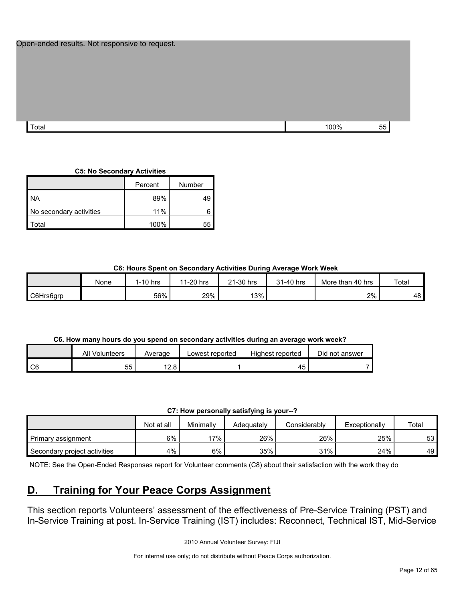|       | Open-ended results. Not responsive to request. |  |      |    |
|-------|------------------------------------------------|--|------|----|
| Total |                                                |  | 100% | 55 |

**C5: No Secondary Activities**

|                         | Percent | Number |
|-------------------------|---------|--------|
| <b>NA</b>               | 89%     |        |
| No secondary activities | 11%     |        |
| `otal                   | 100%    |        |

#### **C6: Hours Spent on Secondary Activities During Average Work Week**

|           | None | $1-10$ hrs | 1-20 hrs<br>44 | 21-30 hrs | 31-40 hrs | More than 40 hrs | Total |
|-----------|------|------------|----------------|-----------|-----------|------------------|-------|
| C6Hrs6grp |      | 56%        | 29%            | 13%       |           | 2%               | 48    |

## **C6. How many hours do you spend on secondary activities during an average work week?**

|                | <b>All Volunteers</b> | Average              | Lowest reported | Highest reported | Did not answer |
|----------------|-----------------------|----------------------|-----------------|------------------|----------------|
| C <sub>6</sub> | 55                    | ຳ<br>$\circ$<br>I∠.O |                 | 45               |                |

| C7: How personally satisfying is your--? |  |
|------------------------------------------|--|
|------------------------------------------|--|

|                              | Not at all | Minimally | Adeauatelv | Considerably | Exceptionally | Total |
|------------------------------|------------|-----------|------------|--------------|---------------|-------|
| Primary assignment           | 6%         | 17%       | 26%        | 26%          | 25%           | 53    |
| Secondary project activities | 4%         | 6%        | 35%        | 31%          | 24%           | 49    |

NOTE: See the Open-Ended Responses report for Volunteer comments (C8) about their satisfaction with the work they do

# <span id="page-11-0"></span>**D. Training for Your Peace Corps Assignment**

This section reports Volunteers' assessment of the effectiveness of Pre-Service Training (PST) and In-Service Training at post. In-Service Training (IST) includes: Reconnect, Technical IST, Mid-Service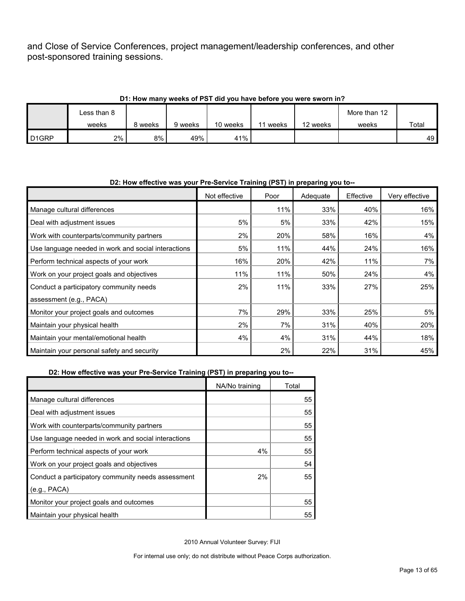and Close of Service Conferences, project management/leadership conferences, and other post-sponsored training sessions.

| D1: How many weeks of PST did you have before you were sworn in? |             |         |         |          |       |          |              |       |  |
|------------------------------------------------------------------|-------------|---------|---------|----------|-------|----------|--------------|-------|--|
|                                                                  | Less than 8 |         |         |          |       |          | More than 12 |       |  |
|                                                                  | weeks       | 8 weeks | 9 weeks | 10 weeks | weeks | 12 weeks | weeks        | Total |  |
| D <sub>1</sub> GRP                                               | 2%          | 8%      | 49%     | 41%      |       |          |              | 49    |  |

#### **D1: How many weeks of PST did you have before you were sworn in?**

# Not effective | Poor | Adequate | Effective | Very effective Manage cultural differences and the settlement of the settlement of the settlement of the settlement of the set of the set of the set of the set of the set of the set of the set of the set of the set of the set of the set Deal with adjustment issues 15% 16% 5% 5% 5% 33% 42% 15% 15% Work with counterparts/community partners  $\begin{array}{ccc} 2\% & 20\% & 58\% & 16\% \end{array}$ Use language needed in work and social interactions  $\begin{vmatrix} 1 & 5\% & 11\% \\ 1 & 1\% & 44\% \end{vmatrix}$  24% 24% Perform technical aspects of your work 16% 16% 16% 20% 20% 12% 11% 11% 11% 11% 7% Work on your project goals and objectives  $11\%$  11%  $11\%$  11% 10% 50% 24% 24% 24% Conduct a participatory community needs assessment (e.g., PACA) 2% 11% 33% 27% 25% Monitor your project goals and outcomes  $\begin{array}{ccc} 7\% & 29\% & 33\% & 25\% \end{array}$ Maintain your physical health 20% 20% 20% 20% 20% 31% 31% 40% 20% 20% Maintain your mental/emotional health 18% 18% 18% 4% 4% 4% 31% 31% 44% 44% 18% Maintain your personal safety and security  $2\%$  22% 22% 31% 31% 45%

# **D2: How effective was your Pre-Service Training (PST) in preparing you to--**

#### **D2: How effective was your Pre-Service Training (PST) in preparing you to--**

|                                                     | NA/No training | Total |
|-----------------------------------------------------|----------------|-------|
| Manage cultural differences                         |                | 55    |
| Deal with adjustment issues                         |                | 55    |
| Work with counterparts/community partners           |                | 55    |
| Use language needed in work and social interactions |                | 55    |
| Perform technical aspects of your work              | 4%             | 55    |
| Work on your project goals and objectives           |                | 54    |
| Conduct a participatory community needs assessment  | 2%             | 55    |
| (e.g., PACA)                                        |                |       |
| Monitor your project goals and outcomes             |                | 55    |
| Maintain your physical health                       |                | 55    |

2010 Annual Volunteer Survey: FIJI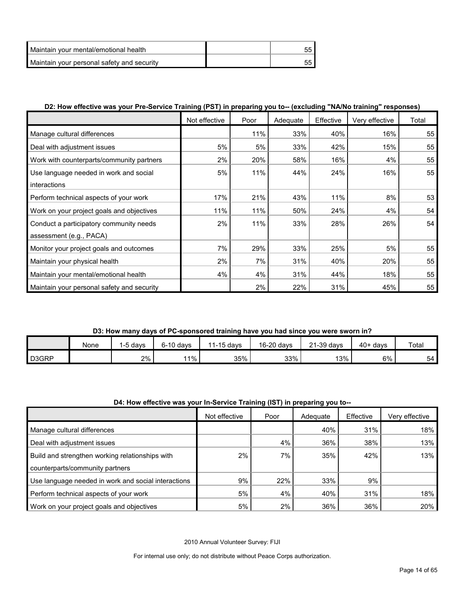| Maintain vour mental/emotional health      |  |
|--------------------------------------------|--|
| Maintain your personal safety and security |  |

# **D2: How effective was your Pre-Service Training (PST) in preparing you to-- (excluding "NA/No training" responses)**

|                                            | Not effective | Poor | Adequate | Effective | Very effective | Total |
|--------------------------------------------|---------------|------|----------|-----------|----------------|-------|
| Manage cultural differences                |               | 11%  | 33%      | 40%       | 16%            | 55    |
| Deal with adjustment issues                | 5%            | 5%   | 33%      | 42%       | 15%            | 55    |
| Work with counterparts/community partners  | 2%            | 20%  | 58%      | 16%       | 4%             | 55    |
| Use language needed in work and social     | 5%            | 11%  | 44%      | 24%       | 16%            | 55    |
| interactions                               |               |      |          |           |                |       |
| Perform technical aspects of your work     | 17%           | 21%  | 43%      | 11%       | 8%             | 53    |
| Work on your project goals and objectives  | 11%           | 11%  | 50%      | 24%       | 4%             | 54    |
| Conduct a participatory community needs    | 2%            | 11%  | 33%      | 28%       | 26%            | 54    |
| assessment (e.g., PACA)                    |               |      |          |           |                |       |
| Monitor your project goals and outcomes    | 7%            | 29%  | 33%      | 25%       | 5%             | 55    |
| Maintain your physical health              | 2%            | 7%   | 31%      | 40%       | 20%            | 55    |
| Maintain your mental/emotional health      | 4%            | 4%   | 31%      | 44%       | 18%            | 55    |
| Maintain your personal safety and security |               | 2%   | 22%      | 31%       | 45%            | 55    |

# **D3: How many days of PC-sponsored training have you had since you were sworn in?**

|                    | None | , davs | 6-10 davs | 11-15 days | 16-20 days | $21-39$ days | $40+$ davs | Total |
|--------------------|------|--------|-----------|------------|------------|--------------|------------|-------|
| D <sub>3</sub> GRP |      | 2%     | 11%       | 35%        | 33%        | 13%          | 6%         | 54    |

#### **D4: How effective was your In-Service Training (IST) in preparing you to--**

|                                                     | Not effective | Poor | Adequate | Effective | Very effective |
|-----------------------------------------------------|---------------|------|----------|-----------|----------------|
| Manage cultural differences                         |               |      | 40%      | 31%       | 18%            |
| Deal with adjustment issues                         |               | 4%   | 36%      | 38%       | 13%            |
| Build and strengthen working relationships with     | 2%            | 7%   | 35%      | 42%       | 13%            |
| counterparts/community partners                     |               |      |          |           |                |
| Use language needed in work and social interactions | 9%            | 22%  | 33%      | 9%        |                |
| Perform technical aspects of your work              | 5%            | 4%   | 40%      | 31%       | 18%            |
| Work on your project goals and objectives           | 5%            | 2%   | 36%      | 36%       | 20%            |

2010 Annual Volunteer Survey: FIJI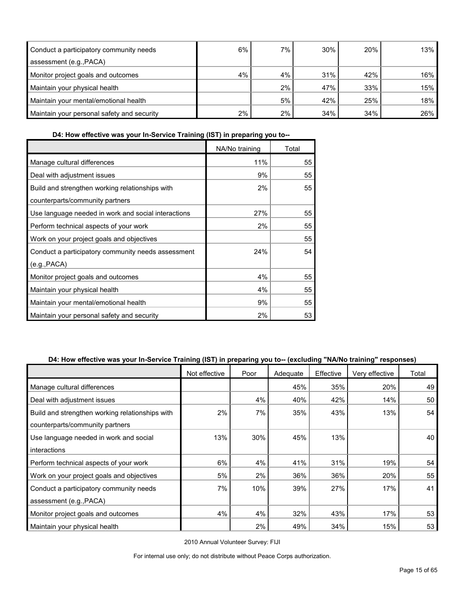| Conduct a participatory community needs    | 6% | $7\%$ | 30% | 20% | 13%    |
|--------------------------------------------|----|-------|-----|-----|--------|
| assessment (e.g., PACA)                    |    |       |     |     |        |
| Monitor project goals and outcomes         | 4% | 4%    | 31% | 42% | $16\%$ |
| Maintain your physical health              |    | 2%    | 47% | 33% | 15%    |
| Maintain your mental/emotional health      |    | 5%    | 42% | 25% | 18%    |
| Maintain your personal safety and security | 2% | 2%    | 34% | 34% | 26%    |

**D4: How effective was your In-Service Training (IST) in preparing you to--**

|                                                     | NA/No training | Total |
|-----------------------------------------------------|----------------|-------|
| Manage cultural differences                         | 11%            | 55    |
| Deal with adjustment issues                         | 9%             | 55    |
| Build and strengthen working relationships with     | 2%             | 55    |
| counterparts/community partners                     |                |       |
| Use language needed in work and social interactions | 27%            | 55    |
| Perform technical aspects of your work              | 2%             | 55    |
| Work on your project goals and objectives           |                | 55    |
| Conduct a participatory community needs assessment  | 24%            | 54    |
| (e.g., PACA)                                        |                |       |
| Monitor project goals and outcomes                  | 4%             | 55    |
| Maintain your physical health                       | 4%             | 55    |
| Maintain your mental/emotional health               | 9%             | 55    |
| Maintain your personal safety and security          | 2%             | 53    |

## **D4: How effective was your In-Service Training (IST) in preparing you to-- (excluding "NA/No training" responses)**

|                                                 | Not effective | Poor | Adequate | Effective | Very effective | Total |
|-------------------------------------------------|---------------|------|----------|-----------|----------------|-------|
| Manage cultural differences                     |               |      | 45%      | 35%       | 20%            | 49    |
| Deal with adjustment issues                     |               | 4%   | 40%      | 42%       | 14%            | 50    |
| Build and strengthen working relationships with | 2%            | 7%   | 35%      | 43%       | 13%            | 54    |
| counterparts/community partners                 |               |      |          |           |                |       |
| Use language needed in work and social          | 13%           | 30%  | 45%      | 13%       |                | 40 l  |
| interactions                                    |               |      |          |           |                |       |
| Perform technical aspects of your work          | 6%            | 4%   | 41%      | 31%       | 19%            | 54    |
| Work on your project goals and objectives       | 5%            | 2%   | 36%      | 36%       | 20%            | 55    |
| Conduct a participatory community needs         | 7%            | 10%  | 39%      | 27%       | 17%            | 41    |
| assessment (e.g., PACA)                         |               |      |          |           |                |       |
| Monitor project goals and outcomes              | 4%            | 4%   | 32%      | 43%       | 17%            | 53    |
| Maintain your physical health                   |               | 2%   | 49%      | 34%       | 15%            | 53    |

2010 Annual Volunteer Survey: FIJI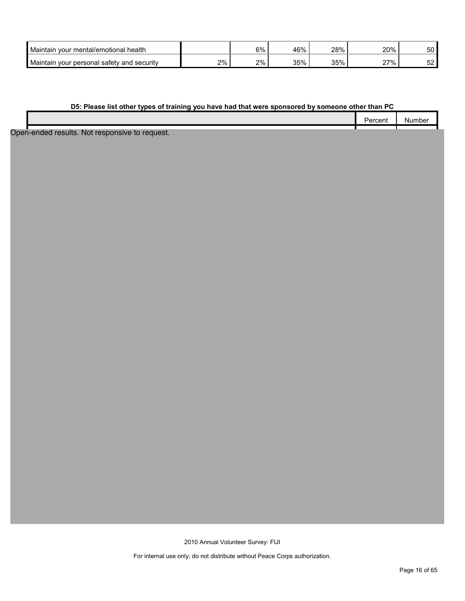| Maintain<br>health<br>∵ mental/emotional ∶<br>vour    |    | 6% | 46% | 28% | 20%      | rn.<br>◡◡ |
|-------------------------------------------------------|----|----|-----|-----|----------|-----------|
| Maintain<br>∵ personal safetv and<br>security<br>vour | 2% | 2% | 35% | 35% | 27%<br>- | -^<br>ັ   |

#### **D5: Please list other types of training you have had that were sponsored by someone other than PC**

| ercent | - WHI.<br>. ⊞. ⊢ |
|--------|------------------|
|        |                  |

Open-ended results. Not responsive to request.

2010 Annual Volunteer Survey: FIJI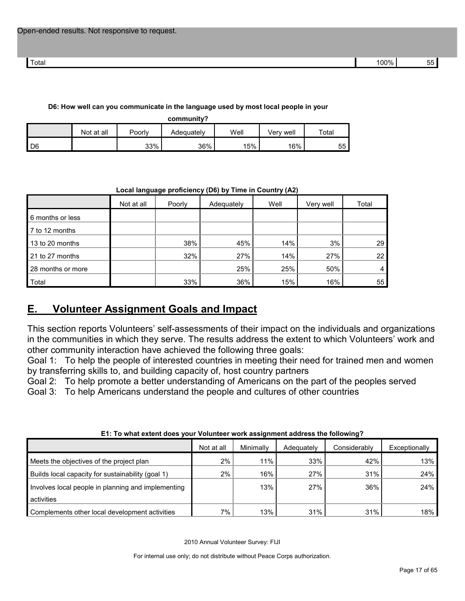#### **D6: How well can you communicate in the language used by most local people in your**

| community? |
|------------|
|------------|

|                | Not at all | Poorly | Adeɑuatelv | Well | Verv well | Total |
|----------------|------------|--------|------------|------|-----------|-------|
| $\mathsf{ID6}$ |            | 33%    | 36%        | 15%  | 16%       | 55 I  |

# Not at all | Poorly | Adequately | Well | Very well | Total 6 months or less 7 to 12 months 13 to 20 months **14% 14% 14% 14% 14% 14% 14% 14% 14% 14%** 15% 16% 29% 16% 29% 16% 29% 16% 29% 16% 29% 16% 29% 21 to 27 months 22 to 27 months 22 to 27 months 22 to 22 to 27 months 22 to 27 months 28 months or more 25% 25% 50% 4 Total 33% 36% 15% 16% 55

# **Local language proficiency (D6) by Time in Country (A2)**

# <span id="page-16-0"></span>**E. Volunteer Assignment Goals and Impact**

This section reports Volunteers' self-assessments of their impact on the individuals and organizations in the communities in which they serve. The results address the extent to which Volunteers' work and other community interaction have achieved the following three goals:

Goal 1: To help the people of interested countries in meeting their need for trained men and women by transferring skills to, and building capacity of, host country partners

Goal 2: To help promote a better understanding of Americans on the part of the peoples served

Goal 3: To help Americans understand the people and cultures of other countries

| ET. TO MINI CARTIN QUES YOU! YOURINGS! WORK QOORININGIN QUARGOO MIC TONOMING : |            |           |            |              |               |
|--------------------------------------------------------------------------------|------------|-----------|------------|--------------|---------------|
|                                                                                | Not at all | Minimally | Adequately | Considerably | Exceptionally |
| Meets the objectives of the project plan                                       | 2%         | 11%       | 33%        | 42%          | 13%           |
| Builds local capacity for sustainability (goal 1)                              | $2\%$      | 16%       | 27%        | 31%          | 24%           |
| Involves local people in planning and implementing                             |            | 13%       | 27%        | 36%          | 24%           |
| activities                                                                     |            |           |            |              |               |
| Complements other local development activities                                 | 7%         | 13%       | 31%        | 31%          | 18%           |

#### **E1: To what extent does your Volunteer work assignment address the following?**

2010 Annual Volunteer Survey: FIJI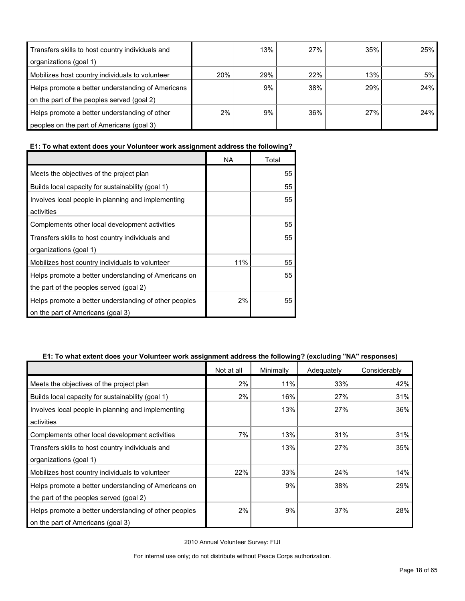| Transfers skills to host country individuals and  |     | 13% | 27% | 35% | 25% |
|---------------------------------------------------|-----|-----|-----|-----|-----|
| organizations (goal 1)                            |     |     |     |     |     |
| Mobilizes host country individuals to volunteer   | 20% | 29% | 22% | 13% | 5%  |
| Helps promote a better understanding of Americans |     | 9%  | 38% | 29% | 24% |
| on the part of the peoples served (goal 2)        |     |     |     |     |     |
| Helps promote a better understanding of other     | 2%  | 9%  | 36% | 27% | 24% |
| peoples on the part of Americans (goal 3)         |     |     |     |     |     |

# **E1: To what extent does your Volunteer work assignment address the following?**

|                                                                  | NA    | Total |
|------------------------------------------------------------------|-------|-------|
| Meets the objectives of the project plan                         |       | 55    |
| Builds local capacity for sustainability (goal 1)                |       | 55    |
| Involves local people in planning and implementing<br>activities |       | 55    |
| Complements other local development activities                   |       | 55    |
|                                                                  |       |       |
| Transfers skills to host country individuals and                 |       | 55    |
| organizations (goal 1)                                           |       |       |
| Mobilizes host country individuals to volunteer                  | 11%   | 55    |
| Helps promote a better understanding of Americans on             |       | 55    |
| the part of the peoples served (goal 2)                          |       |       |
| Helps promote a better understanding of other peoples            | $2\%$ | 55    |
| on the part of Americans (goal 3)                                |       |       |

#### **E1: To what extent does your Volunteer work assignment address the following? (excluding "NA" responses)**

|                                                       | Not at all | Minimally | Adequately | Considerably |
|-------------------------------------------------------|------------|-----------|------------|--------------|
| Meets the objectives of the project plan              | 2%         | 11%       | 33%        | 42%          |
| Builds local capacity for sustainability (goal 1)     | 2%         | 16%       | 27%        | 31%          |
| Involves local people in planning and implementing    |            | 13%       | 27%        | 36%          |
| activities                                            |            |           |            |              |
| Complements other local development activities        | 7%         | 13%       | 31%        | 31%          |
| Transfers skills to host country individuals and      |            | 13%       | 27%        | 35%          |
| organizations (goal 1)                                |            |           |            |              |
| Mobilizes host country individuals to volunteer       | 22%        | 33%       | 24%        | 14%          |
| Helps promote a better understanding of Americans on  |            | 9%        | 38%        | 29%          |
| the part of the peoples served (goal 2)               |            |           |            |              |
| Helps promote a better understanding of other peoples | 2%         | 9%        | 37%        | 28%          |
| on the part of Americans (goal 3)                     |            |           |            |              |

2010 Annual Volunteer Survey: FIJI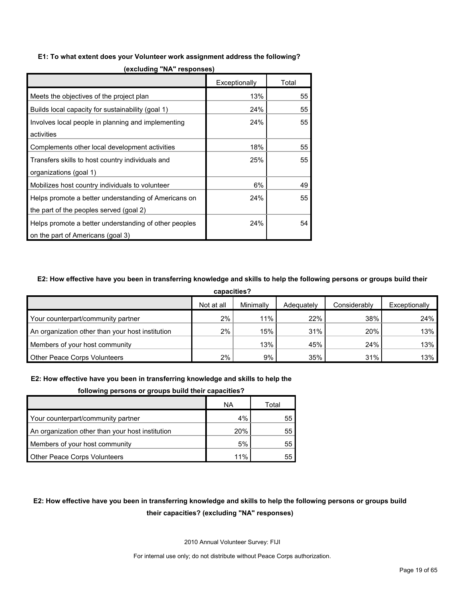#### **E1: To what extent does your Volunteer work assignment address the following?**

|                                                       | Exceptionally | Total |
|-------------------------------------------------------|---------------|-------|
| Meets the objectives of the project plan              | 13%           | 55    |
| Builds local capacity for sustainability (goal 1)     | 24%           | 55    |
| Involves local people in planning and implementing    | 24%           | 55    |
| activities                                            |               |       |
| Complements other local development activities        | 18%           | 55    |
| Transfers skills to host country individuals and      | 25%           | 55    |
| organizations (goal 1)                                |               |       |
| Mobilizes host country individuals to volunteer       | 6%            | 49    |
| Helps promote a better understanding of Americans on  | 24%           | 55    |
| the part of the peoples served (goal 2)               |               |       |
| Helps promote a better understanding of other peoples | 24%           | 54    |
| on the part of Americans (goal 3)                     |               |       |

**(excluding "NA" responses)**

#### **E2: How effective have you been in transferring knowledge and skills to help the following persons or groups build their**

| capacities?                                      |            |           |            |              |               |  |
|--------------------------------------------------|------------|-----------|------------|--------------|---------------|--|
|                                                  | Not at all | Minimally | Adequately | Considerably | Exceptionally |  |
| Your counterpart/community partner               | $2\%$      | 11%       | 22%        | 38%          | 24%           |  |
| An organization other than your host institution | 2%         | 15%       | 31%        | 20%          | 13%           |  |
| Members of your host community                   |            | 13%       | 45%        | 24%          | 13%           |  |
| <b>Other Peace Corps Volunteers</b>              | 2%         | 9%        | 35%        | 31%          | 13%           |  |

#### **E2: How effective have you been in transferring knowledge and skills to help the**

#### **following persons or groups build their capacities?**

|                                                  | ΝA  | Total |
|--------------------------------------------------|-----|-------|
| Your counterpart/community partner               | 4%  | 55    |
| An organization other than your host institution | 20% | 55    |
| Members of your host community                   | 5%  | 55    |
| <b>Other Peace Corps Volunteers</b>              | 11% | 55    |

# **E2: How effective have you been in transferring knowledge and skills to help the following persons or groups build their capacities? (excluding "NA" responses)**

2010 Annual Volunteer Survey: FIJI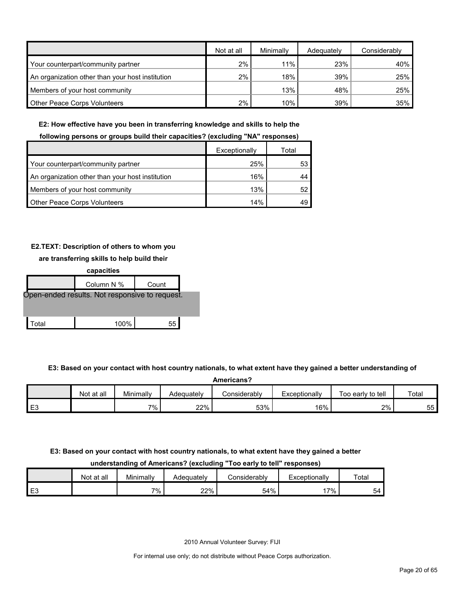|                                                  | Not at all | Minimally | Adequately | Considerably |
|--------------------------------------------------|------------|-----------|------------|--------------|
| Your counterpart/community partner               | 2%         | 11%       | 23%        | 40%          |
| An organization other than your host institution | 2%         | 18%       | 39%        | 25%          |
| Members of your host community                   |            | 13%       | 48%        | 25%          |
| <b>Other Peace Corps Volunteers</b>              | 2%         | 10%       | 39%        | 35%          |

#### **E2: How effective have you been in transferring knowledge and skills to help the**

#### **following persons or groups build their capacities? (excluding "NA" responses)**

|                                                  | Exceptionally | Total |
|--------------------------------------------------|---------------|-------|
| Your counterpart/community partner               | 25%           | 53    |
| An organization other than your host institution | 16%           |       |
| Members of your host community                   | 13%           |       |
| <b>Other Peace Corps Volunteers</b>              | 14%           |       |

#### **E2.TEXT: Description of others to whom you**

#### **are transferring skills to help build their**



**E3: Based on your contact with host country nationals, to what extent have they gained a better understanding of** 

| Americans?     |            |           |            |              |               |                   |       |  |  |
|----------------|------------|-----------|------------|--------------|---------------|-------------------|-------|--|--|
|                | Not at all | Minimally | Adeauatelv | Considerably | Exceptionally | Too early to tell | Total |  |  |
| E <sub>3</sub> |            | $7\%$ .   | 22%        | 53%          | 16%           | 2%                | 55    |  |  |

# **E3: Based on your contact with host country nationals, to what extent have they gained a better**

**understanding of Americans? (excluding "Too early to tell" responses)**

|                | Not at all | Minimally | Adeɑuatelv | onsiderablyٽ | Exceptionally | Total |
|----------------|------------|-----------|------------|--------------|---------------|-------|
| E <sub>3</sub> |            | $7\%$     | 22%        | 54%          | $7\%$         | ыд    |

2010 Annual Volunteer Survey: FIJI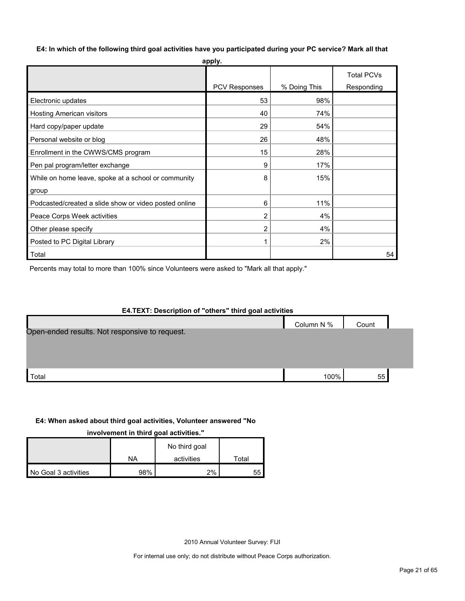#### **E4: In which of the following third goal activities have you participated during your PC service? Mark all that**

| apply.                                                |                      |              |                                 |  |  |  |  |  |
|-------------------------------------------------------|----------------------|--------------|---------------------------------|--|--|--|--|--|
|                                                       | <b>PCV Responses</b> | % Doing This | <b>Total PCVs</b><br>Responding |  |  |  |  |  |
|                                                       |                      |              |                                 |  |  |  |  |  |
| Electronic updates                                    | 53                   | 98%          |                                 |  |  |  |  |  |
| Hosting American visitors                             | 40                   | 74%          |                                 |  |  |  |  |  |
| Hard copy/paper update                                | 29                   | 54%          |                                 |  |  |  |  |  |
| Personal website or blog                              | 26                   | 48%          |                                 |  |  |  |  |  |
| Enrollment in the CWWS/CMS program                    | 15                   | 28%          |                                 |  |  |  |  |  |
| Pen pal program/letter exchange                       | 9                    | 17%          |                                 |  |  |  |  |  |
| While on home leave, spoke at a school or community   | 8                    | 15%          |                                 |  |  |  |  |  |
| group                                                 |                      |              |                                 |  |  |  |  |  |
| Podcasted/created a slide show or video posted online | 6                    | 11%          |                                 |  |  |  |  |  |
| Peace Corps Week activities                           | 2                    | 4%           |                                 |  |  |  |  |  |
| Other please specify                                  | 2                    | 4%           |                                 |  |  |  |  |  |
| Posted to PC Digital Library                          |                      | 2%           |                                 |  |  |  |  |  |
| Total                                                 |                      |              | 54                              |  |  |  |  |  |

Percents may total to more than 100% since Volunteers were asked to "Mark all that apply."

# **E4.TEXT: Description of "others" third goal activities**

|                                                | Column N % | Count |  |
|------------------------------------------------|------------|-------|--|
| Open-ended results. Not responsive to request. |            |       |  |
|                                                |            |       |  |
|                                                |            |       |  |
|                                                |            |       |  |
|                                                |            |       |  |
| Total                                          | 100%       | 55    |  |
|                                                |            |       |  |

# **E4: When asked about third goal activities, Volunteer answered "No**

**involvement in third goal activities."** 

|                      |     | No third goal |             |
|----------------------|-----|---------------|-------------|
|                      | NA  | activities    | $\tau$ otal |
| No Goal 3 activities | 98% | 2%            | 55          |

2010 Annual Volunteer Survey: FIJI

For internal use only; do not distribute without Peace Corps authorization.

h

т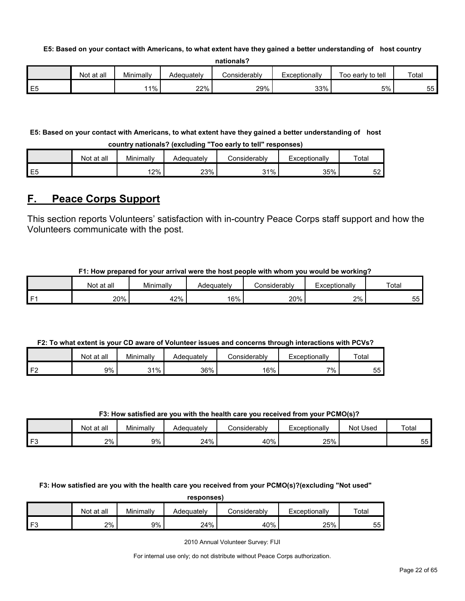#### **E5: Based on your contact with Americans, to what extent have they gained a better understanding of host country**

| nationals? |  |
|------------|--|
|------------|--|

|         | at all<br>Not | Minimally | Adequatelv | ا onsiderably | Exceptionally | Too early to tell | Total     |
|---------|---------------|-----------|------------|---------------|---------------|-------------------|-----------|
| ⊢<br>∼∟ |               | $1\%$     | 22%        | 29%           | 33%           | 5%                | --<br>55. |

# **E5: Based on your contact with Americans, to what extent have they gained a better understanding of host**

**country nationals? (excluding "Too early to tell" responses)**

|                | Not at all | Minimally | Adequately | Considerabl∨ | Exceptionally | Total    |
|----------------|------------|-----------|------------|--------------|---------------|----------|
| E <sub>5</sub> |            | 12%       | 23%        | 31%<br>. ب   | 35%           | -0<br>ےت |

# <span id="page-21-0"></span>**F. Peace Corps Support**

This section reports Volunteers' satisfaction with in-country Peace Corps staff support and how the Volunteers communicate with the post.

## **F1: How prepared for your arrival were the host people with whom you would be working?**

|      | Not at all | Minimally | Adequately | Considerably | Exceptionally | Totar     |
|------|------------|-----------|------------|--------------|---------------|-----------|
| l F1 | 20%        | 42%       | 16%        | 20%          | 2%            | --<br>55. |

## **F2: To what extent is your CD aware of Volunteer issues and concerns through interactions with PCVs?**

|                   | all<br>Not at | Minimally | Adequately | ∴onsiderablv | Exceptionally | Total    |
|-------------------|---------------|-----------|------------|--------------|---------------|----------|
| ∡ ⊏≏i<br><u>.</u> | 9%            | 31%       | 36%        | 16%          | 7%            | --<br>55 |

#### **F3: How satisfied are you with the health care you received from your PCMO(s)?**

|      | Not at all | Minimally | Adequatelv | onsiderablyٽ | Exceptionally | Not Used | Total    |
|------|------------|-----------|------------|--------------|---------------|----------|----------|
| l F3 | 2%         | 9%        | 24%        | 40%          | 25%           |          | --<br>55 |

**F3: How satisfied are you with the health care you received from your PCMO(s)?(excluding "Not used"** 

**responses)**

|                | at all<br>Not | Minimally | Adequately | Considerabl∨ | xceptionally | Tota <sub>1</sub> |
|----------------|---------------|-----------|------------|--------------|--------------|-------------------|
| r <sub>c</sub> | 2%            | 9%        | 24%        | 40%          | 25%          | 55                |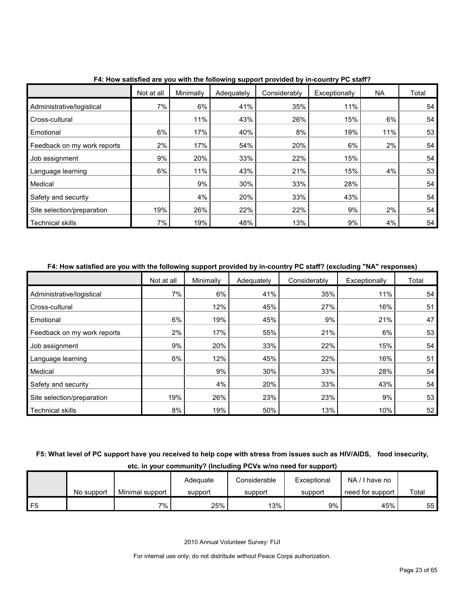|                             | Not at all | Minimally | Adequately | Considerably | Exceptionally | NA  | Total |
|-----------------------------|------------|-----------|------------|--------------|---------------|-----|-------|
| Administrative/logistical   | 7%         | 6%        | 41%        | 35%          | 11%           |     | 54    |
| Cross-cultural              |            | 11%       | 43%        | 26%          | 15%           | 6%  | 54    |
| Emotional                   | 6%         | 17%       | 40%        | 8%           | 19%           | 11% | 53    |
| Feedback on my work reports | 2%         | 17%       | 54%        | 20%          | 6%            | 2%  | 54    |
| Job assignment              | 9%         | 20%       | 33%        | 22%          | 15%           |     | 54    |
| Language learning           | 6%         | 11%       | 43%        | 21%          | 15%           | 4%  | 53    |
| Medical                     |            | 9%        | 30%        | 33%          | 28%           |     | 54    |
| Safety and security         |            | 4%        | 20%        | 33%          | 43%           |     | 54    |
| Site selection/preparation  | 19%        | 26%       | 22%        | 22%          | 9%            | 2%  | 54    |
| <b>Technical skills</b>     | 7%         | 19%       | 48%        | 13%          | 9%            | 4%  | 54    |

**F4: How satisfied are you with the following support provided by in-country PC staff?**

#### **F4: How satisfied are you with the following support provided by in-country PC staff? (excluding "NA" responses)**

|                             | Not at all | Minimally | Adequately | Considerably | Exceptionally | Total |
|-----------------------------|------------|-----------|------------|--------------|---------------|-------|
| Administrative/logistical   | 7%         | 6%        | 41%        | 35%          | 11%           | 54    |
| Cross-cultural              |            | 12%       | 45%        | 27%          | 16%           | 51    |
| Emotional                   | 6%         | 19%       | 45%        | 9%           | 21%           | 47    |
| Feedback on my work reports | 2%         | 17%       | 55%        | 21%          | 6%            | 53    |
| Job assignment              | 9%         | 20%       | 33%        | 22%          | 15%           | 54    |
| Language learning           | 6%         | 12%       | 45%        | 22%          | 16%           | 51    |
| Medical                     |            | 9%        | 30%        | 33%          | 28%           | 54    |
| Safety and security         |            | 4%        | 20%        | 33%          | 43%           | 54    |
| Site selection/preparation  | 19%        | 26%       | 23%        | 23%          | 9%            | 53    |
| <b>Technical skills</b>     | 8%         | 19%       | 50%        | 13%          | 10%           | 52    |

# **F5: What level of PC support have you received to help cope with stress from issues such as HIV/AIDS, food insecurity, etc. in your community? (Including PCVs w/no need for support)**

|      |            |                 | Adequate | Considerable | Exceptional | NA/I have no     |       |
|------|------------|-----------------|----------|--------------|-------------|------------------|-------|
|      | No support | Minimal support | support  | support      | support     | need for support | Total |
| 1 F5 |            | 7%              | 25%      | 13%          | 9%          | 45%              | 55    |

2010 Annual Volunteer Survey: FIJI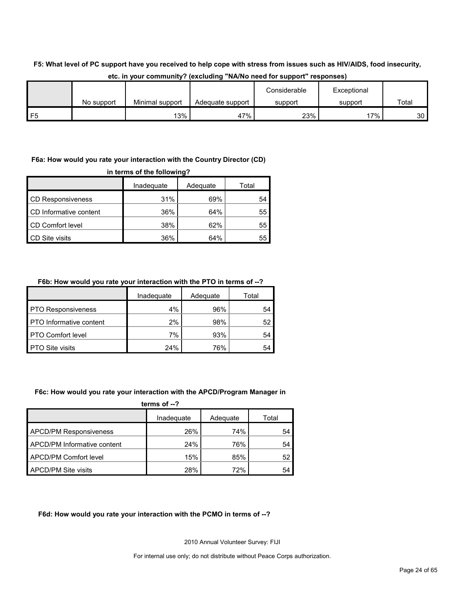# **F5: What level of PC support have you received to help cope with stress from issues such as HIV/AIDS, food insecurity,**

|    |            |                 |                  | Considerable | Exceptional |                 |
|----|------------|-----------------|------------------|--------------|-------------|-----------------|
|    | No support | Minimal support | Adequate support | support      | support     | Total           |
| F5 |            | $13\%$          | 47%              | 23%          | 7%          | 30 <sup>1</sup> |

#### **etc. in your community? (excluding "NA/No need for support" responses)**

## **F6a: How would you rate your interaction with the Country Director (CD)**

| in terms of the following? |            |          |       |  |  |  |  |
|----------------------------|------------|----------|-------|--|--|--|--|
|                            | Inadequate | Adequate | Total |  |  |  |  |
| <b>CD Responsiveness</b>   | 31%        | 69%      | 54    |  |  |  |  |
| CD Informative content     | 36%        | 64%      | 55    |  |  |  |  |
| <b>CD Comfort level</b>    | 38%        | 62%      | 55    |  |  |  |  |
| <b>CD</b> Site visits      | 36%        | 64%      | 55    |  |  |  |  |

## **F6b: How would you rate your interaction with the PTO in terms of --?**

|                                | Inadequate | Adequate | Total |
|--------------------------------|------------|----------|-------|
| <b>PTO Responsiveness</b>      | 4%         | 96%      | 54    |
| <b>PTO</b> Informative content | 2%         | 98%      | 52    |
| <b>PTO Comfort level</b>       | 7%         | 93%      | 54    |
| <b>PTO Site visits</b>         | 24%        | 76%      | 54    |

#### **F6c: How would you rate your interaction with the APCD/Program Manager in**

| terms of $-2$                 |            |          |       |  |  |  |  |
|-------------------------------|------------|----------|-------|--|--|--|--|
|                               | Inadequate | Adequate | Total |  |  |  |  |
| <b>APCD/PM Responsiveness</b> | 26%        | 74%      | 54    |  |  |  |  |
| APCD/PM Informative content   | 24%        | 76%      | 54    |  |  |  |  |
| <b>APCD/PM Comfort level</b>  | 15%        | 85%      | 52    |  |  |  |  |
| <b>APCD/PM Site visits</b>    | 28%        | 72%      | 54    |  |  |  |  |

#### **F6d: How would you rate your interaction with the PCMO in terms of --?**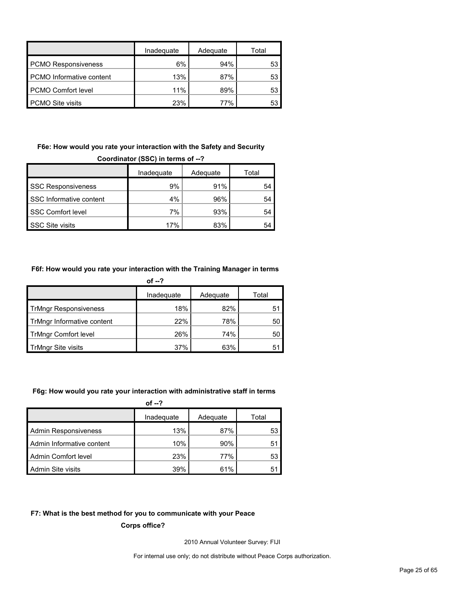|                                 | Inadequate | Adequate | Total |
|---------------------------------|------------|----------|-------|
| <b>PCMO Responsiveness</b>      | 6%         | 94%      | 53    |
| <b>PCMO</b> Informative content | 13%        | 87%      | 53    |
| <b>PCMO Comfort level</b>       | 11%        | 89%      | 53    |
| <b>PCMO Site visits</b>         | 23%        | 77%      | 53    |

# **F6e: How would you rate your interaction with the Safety and Security**

| Coordinator (SSC) in terms of --? |     |     |    |  |  |  |  |
|-----------------------------------|-----|-----|----|--|--|--|--|
| Inadequate<br>Adequate<br>Total   |     |     |    |  |  |  |  |
| <b>SSC Responsiveness</b>         | 9%  | 91% | 54 |  |  |  |  |
| SSC Informative content           | 4%  | 96% | 54 |  |  |  |  |
| <b>SSC Comfort level</b>          | 7%  | 93% | 54 |  |  |  |  |
| <b>SSC Site visits</b>            | 17% | 83% | 54 |  |  |  |  |

## **F6f: How would you rate your interaction with the Training Manager in terms**

|                              | of $-2$    |          |       |
|------------------------------|------------|----------|-------|
|                              | Inadequate | Adequate | Total |
| <b>TrMngr Responsiveness</b> | 18%        | 82%      | 51    |
| TrMngr Informative content   | 22%        | 78%      | 50    |
| <b>TrMngr Comfort level</b>  | 26%        | 74%      | 50    |
| <b>TrMngr Site visits</b>    | 37%        | 63%      | 51    |

#### **F6g: How would you rate your interaction with administrative staff in terms**

| of $-2$                     |            |          |       |  |  |  |  |
|-----------------------------|------------|----------|-------|--|--|--|--|
|                             | Inadequate | Adequate | Total |  |  |  |  |
| <b>Admin Responsiveness</b> | 13%        | 87%      | 53    |  |  |  |  |
| Admin Informative content   | 10%        | 90%      | 51    |  |  |  |  |
| Admin Comfort level         | 23%        | 77%      | 53    |  |  |  |  |
| Admin Site visits           | 39%        | 61%      | 51    |  |  |  |  |

#### **F7: What is the best method for you to communicate with your Peace**

**Corps office?**

2010 Annual Volunteer Survey: FIJI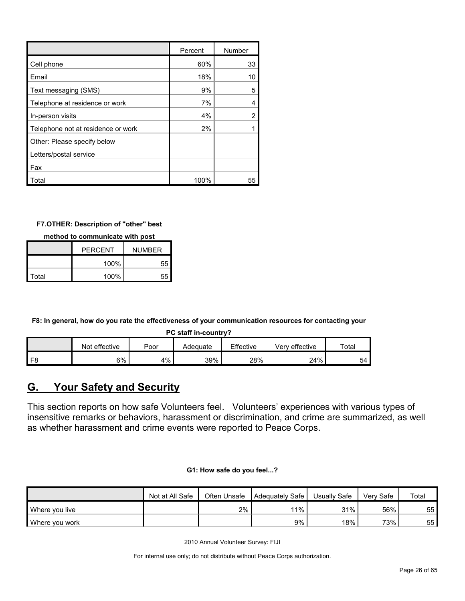|                                    | Percent | Number |
|------------------------------------|---------|--------|
| Cell phone                         | 60%     | 33     |
| Email                              | 18%     | 10     |
| Text messaging (SMS)               | 9%      | 5      |
| Telephone at residence or work     | 7%      |        |
| In-person visits                   | 4%      |        |
| Telephone not at residence or work | 2%      |        |
| Other: Please specify below        |         |        |
| Letters/postal service             |         |        |
| Fax                                |         |        |
| Total                              | 100%    | 55     |

## **F7.OTHER: Description of "other" best**

**method to communicate with post**

|       | <b>PERCENT</b> | <b>NUMBER</b> |  |  |
|-------|----------------|---------------|--|--|
|       | 100%           | 55            |  |  |
| Total | 100%           |               |  |  |

**F8: In general, how do you rate the effectiveness of your communication resources for contacting your** 

**PC staff in-country?**

|                | Not effective | Poor | Adeɑuate | Effective | effective<br>verv | Total |
|----------------|---------------|------|----------|-----------|-------------------|-------|
| F <sub>8</sub> | 6%            | 4%   | 39%      | 28%       | 24%               | 54    |

# <span id="page-25-0"></span>**G. Your Safety and Security**

This section reports on how safe Volunteers feel. Volunteers' experiences with various types of insensitive remarks or behaviors, harassment or discrimination, and crime are summarized, as well as whether harassment and crime events were reported to Peace Corps.

| G1: How safe do you feel? |  |  |  |  |  |  |  |
|---------------------------|--|--|--|--|--|--|--|
|---------------------------|--|--|--|--|--|--|--|

|                | Not at All Safe | Often Unsafe | Adequately Safe | Usually Safe | Verv Safe | Total |
|----------------|-----------------|--------------|-----------------|--------------|-----------|-------|
| Where you live |                 | 2%           | 11%             | 31%          | 56%       | 55    |
| Where you work |                 |              | 9%              | 18%          | 73%       | 55    |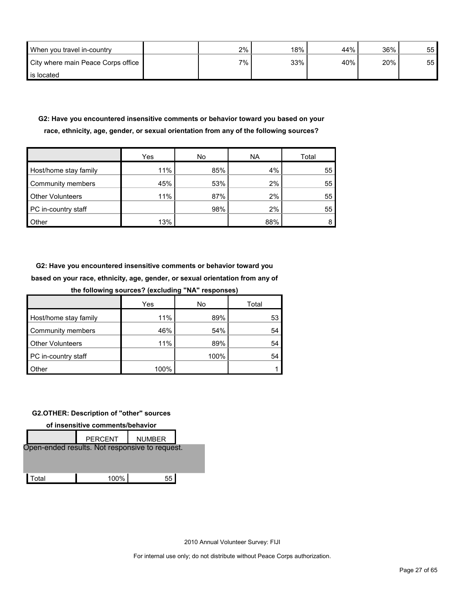| When you travel in-country         | 2%      | 18% | 44% | 36% | 55 |
|------------------------------------|---------|-----|-----|-----|----|
| City where main Peace Corps office | $7\%$ . | 33% | 40% | 20% | 55 |
| is located                         |         |     |     |     |    |

# **G2: Have you encountered insensitive comments or behavior toward you based on your race, ethnicity, age, gender, or sexual orientation from any of the following sources?**

|                         | Yes | No  | <b>NA</b> | Total |
|-------------------------|-----|-----|-----------|-------|
| Host/home stay family   | 11% | 85% | 4%        | 55    |
| Community members       | 45% | 53% | 2%        | 55    |
| <b>Other Volunteers</b> | 11% | 87% | 2%        | 55    |
| PC in-country staff     |     | 98% | 2%        | 55    |
| Other                   | 13% |     | 88%       | 8     |

**G2: Have you encountered insensitive comments or behavior toward you based on your race, ethnicity, age, gender, or sexual orientation from any of the following sources? (excluding "NA" responses)**

| the following sources: (excluding the responses) |      |      |       |  |  |  |  |  |  |
|--------------------------------------------------|------|------|-------|--|--|--|--|--|--|
|                                                  | Yes  | No   | Total |  |  |  |  |  |  |
| Host/home stay family                            | 11%  | 89%  | 53    |  |  |  |  |  |  |
| Community members                                | 46%  | 54%  | 54    |  |  |  |  |  |  |
| <b>Other Volunteers</b>                          | 11%  | 89%  | 54    |  |  |  |  |  |  |
| PC in-country staff                              |      | 100% | 54    |  |  |  |  |  |  |
| <b>Other</b>                                     | 100% |      |       |  |  |  |  |  |  |

#### **G2.OTHER: Description of "other" sources**

**of insensitive comments/behavior** PERCENT | NUMBER Total 100% 55 Open-ended results. Not responsive to request.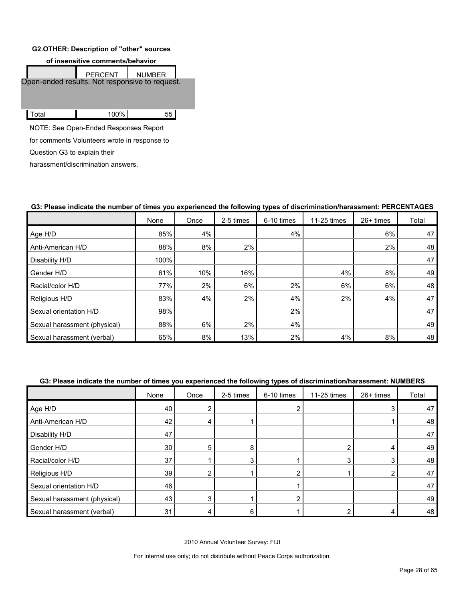#### **G2.OTHER: Description of "other" sources**



for comments Volunteers wrote in response to

Question G3 to explain their

harassment/discrimination answers.

|                              | None | $J - T - T - T$<br>Once | 2-5 times | <u> 370 - 18</u><br>6-10 times | 11-25 times | $26+$ times | Total |
|------------------------------|------|-------------------------|-----------|--------------------------------|-------------|-------------|-------|
| Age H/D                      | 85%  | 4%                      |           | 4%                             |             | 6%          | 47    |
| Anti-American H/D            | 88%  | 8%                      | 2%        |                                |             | 2%          | 48    |
| Disability H/D               | 100% |                         |           |                                |             |             | 47    |
| Gender H/D                   | 61%  | 10%                     | 16%       |                                | 4%          | 8%          | 49    |
| Racial/color H/D             | 77%  | 2%                      | 6%        | 2%                             | 6%          | 6%          | 48    |
| Religious H/D                | 83%  | 4%                      | 2%        | 4%                             | 2%          | 4%          | 47    |
| Sexual orientation H/D       | 98%  |                         |           | 2%                             |             |             | 47    |
| Sexual harassment (physical) | 88%  | 6%                      | 2%        | 4%                             |             |             | 49    |
| Sexual harassment (verbal)   | 65%  | 8%                      | 13%       | 2%                             | 4%          | 8%          | 48    |

## **G3: Please indicate the number of times you experienced the following types of discrimination/harassment: PERCENTAGES**

#### **G3: Please indicate the number of times you experienced the following types of discrimination/harassment: NUMBERS**

|                              | None | Once | 2-5 times | 6-10 times | 11-25 times | 26+ times | Total |
|------------------------------|------|------|-----------|------------|-------------|-----------|-------|
| Age H/D                      | 40   | ົ    |           |            |             | 3         | 47    |
| Anti-American H/D            | 42   | 4    |           |            |             |           | 48    |
| Disability H/D               | 47   |      |           |            |             |           | 47    |
| Gender H/D                   | 30   | 5    |           |            | ⌒           | 4         | 49    |
| Racial/color H/D             | 37   |      |           |            | 3           | 3         | 48    |
| Religious H/D                | 39   | ົ    |           |            |             | ◠         | 47    |
| Sexual orientation H/D       | 46   |      |           |            |             |           | 47    |
| Sexual harassment (physical) | 43   | 3    |           |            |             |           | 49    |
| Sexual harassment (verbal)   | 31   |      |           |            |             |           | 48    |

2010 Annual Volunteer Survey: FIJI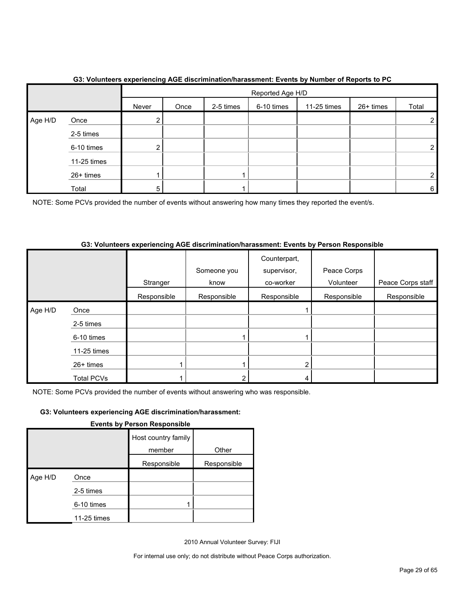|         |             | $\sim$        | Reported Age H/D |           |            |             |           |       |
|---------|-------------|---------------|------------------|-----------|------------|-------------|-----------|-------|
|         |             | Never         | Once             | 2-5 times | 6-10 times | 11-25 times | 26+ times | Total |
| Age H/D | Once        | ົ<br><u>∠</u> |                  |           |            |             |           | 2     |
|         | 2-5 times   |               |                  |           |            |             |           |       |
|         | 6-10 times  | ົ             |                  |           |            |             |           | 2     |
|         | 11-25 times |               |                  |           |            |             |           |       |
|         | 26+ times   |               |                  |           |            |             |           | ົ     |
|         | Total       | 5             |                  |           |            |             |           | 6     |

# **G3: Volunteers experiencing AGE discrimination/harassment: Events by Number of Reports to PC**

NOTE: Some PCVs provided the number of events without answering how many times they reported the event/s.

#### **G3: Volunteers experiencing AGE discrimination/harassment: Events by Person Responsible**

|         |                   | Stranger    | Someone you<br>know | Counterpart,<br>supervisor,<br>co-worker | Peace Corps<br>Volunteer | Peace Corps staff |
|---------|-------------------|-------------|---------------------|------------------------------------------|--------------------------|-------------------|
|         |                   | Responsible | Responsible         | Responsible                              | Responsible              | Responsible       |
| Age H/D | Once              |             |                     |                                          |                          |                   |
|         | 2-5 times         |             |                     |                                          |                          |                   |
|         | 6-10 times        |             |                     |                                          |                          |                   |
|         | $11-25$ times     |             |                     |                                          |                          |                   |
|         | 26+ times         |             |                     |                                          |                          |                   |
|         | <b>Total PCVs</b> |             |                     |                                          |                          |                   |

NOTE: Some PCVs provided the number of events without answering who was responsible.

# **G3: Volunteers experiencing AGE discrimination/harassment:**

| <b>Events by Person Responsible</b> |
|-------------------------------------|
|                                     |

|         |             | Host country family |             |
|---------|-------------|---------------------|-------------|
|         |             | member              | Other       |
|         |             | Responsible         | Responsible |
| Age H/D | Once        |                     |             |
|         | 2-5 times   |                     |             |
|         | 6-10 times  |                     |             |
|         | 11-25 times |                     |             |

2010 Annual Volunteer Survey: FIJI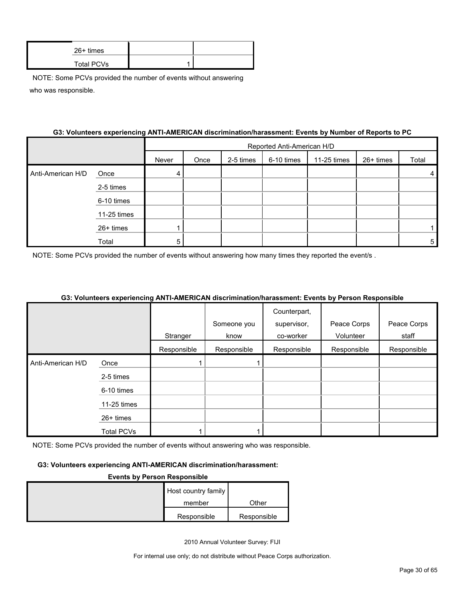| $26+$ times       |  |
|-------------------|--|
| <b>Total PCVs</b> |  |

#### **G3: Volunteers experiencing ANTI-AMERICAN discrimination/harassment: Events by Number of Reports to PC**

|                   |             |       | Reported Anti-American H/D |           |            |             |           |       |
|-------------------|-------------|-------|----------------------------|-----------|------------|-------------|-----------|-------|
|                   |             | Never | Once                       | 2-5 times | 6-10 times | 11-25 times | 26+ times | Total |
| Anti-American H/D | Once        | 4     |                            |           |            |             |           | 4     |
|                   | 2-5 times   |       |                            |           |            |             |           |       |
|                   | 6-10 times  |       |                            |           |            |             |           |       |
|                   | 11-25 times |       |                            |           |            |             |           |       |
|                   | 26+ times   |       |                            |           |            |             |           |       |
|                   | Total       | 5     |                            |           |            |             |           | 5     |

NOTE: Some PCVs provided the number of events without answering how many times they reported the event/s.

#### **G3: Volunteers experiencing ANTI-AMERICAN discrimination/harassment: Events by Person Responsible**

|                   |                   |             |             | Counterpart, |             |             |
|-------------------|-------------------|-------------|-------------|--------------|-------------|-------------|
|                   |                   |             | Someone you | supervisor,  | Peace Corps | Peace Corps |
|                   |                   | Stranger    | know        | co-worker    | Volunteer   | staff       |
|                   |                   | Responsible | Responsible | Responsible  | Responsible | Responsible |
| Anti-American H/D | Once              |             |             |              |             |             |
|                   | 2-5 times         |             |             |              |             |             |
|                   | 6-10 times        |             |             |              |             |             |
|                   | 11-25 times       |             |             |              |             |             |
|                   | 26+ times         |             |             |              |             |             |
|                   | <b>Total PCVs</b> |             |             |              |             |             |

NOTE: Some PCVs provided the number of events without answering who was responsible.

#### **G3: Volunteers experiencing ANTI-AMERICAN discrimination/harassment:**

#### **Events by Person Responsible**

| Host country family |             |
|---------------------|-------------|
| member              | Other       |
| Responsible         | Responsible |

2010 Annual Volunteer Survey: FIJI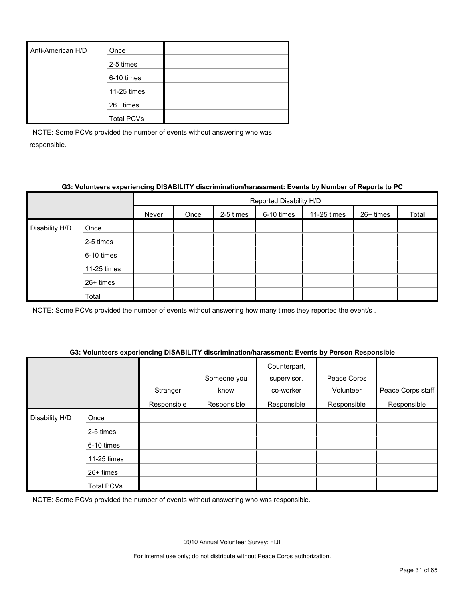| Anti-American H/D | Once              |  |
|-------------------|-------------------|--|
|                   | 2-5 times         |  |
|                   | 6-10 times        |  |
|                   | 11-25 times       |  |
|                   | 26+ times         |  |
|                   | <b>Total PCVs</b> |  |

#### **G3: Volunteers experiencing DISABILITY discrimination/harassment: Events by Number of Reports to PC**

|                |             |       | Reported Disability H/D |           |            |             |           |       |
|----------------|-------------|-------|-------------------------|-----------|------------|-------------|-----------|-------|
|                |             | Never | Once                    | 2-5 times | 6-10 times | 11-25 times | 26+ times | Total |
| Disability H/D | Once        |       |                         |           |            |             |           |       |
|                | 2-5 times   |       |                         |           |            |             |           |       |
|                | 6-10 times  |       |                         |           |            |             |           |       |
|                | 11-25 times |       |                         |           |            |             |           |       |
|                | 26+ times   |       |                         |           |            |             |           |       |
|                | Total       |       |                         |           |            |             |           |       |

NOTE: Some PCVs provided the number of events without answering how many times they reported the event/s .

#### **G3: Volunteers experiencing DISABILITY discrimination/harassment: Events by Person Responsible**

|                |             | Stranger    | Someone you<br>know | Counterpart,<br>supervisor,<br>co-worker | Peace Corps<br>Volunteer | Peace Corps staff |
|----------------|-------------|-------------|---------------------|------------------------------------------|--------------------------|-------------------|
|                |             | Responsible | Responsible         | Responsible                              | Responsible              | Responsible       |
| Disability H/D | Once        |             |                     |                                          |                          |                   |
|                | 2-5 times   |             |                     |                                          |                          |                   |
|                | 6-10 times  |             |                     |                                          |                          |                   |
|                | 11-25 times |             |                     |                                          |                          |                   |
|                | 26+ times   |             |                     |                                          |                          |                   |
|                | Total PCVs  |             |                     |                                          |                          |                   |

NOTE: Some PCVs provided the number of events without answering who was responsible.

2010 Annual Volunteer Survey: FIJI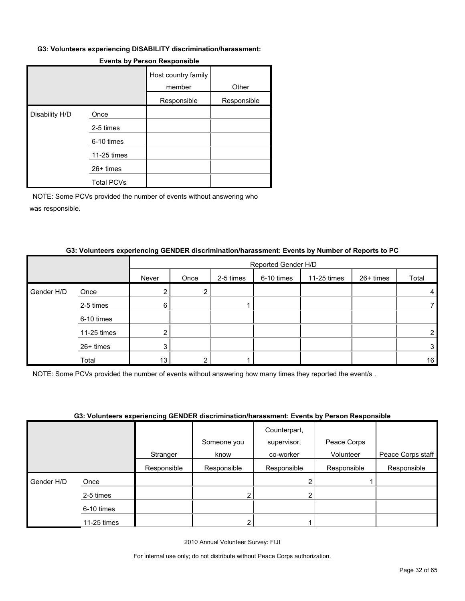#### **G3: Volunteers experiencing DISABILITY discrimination/harassment:**

|                |                   | Host country family<br>member | Other       |
|----------------|-------------------|-------------------------------|-------------|
|                |                   | Responsible                   | Responsible |
| Disability H/D | Once              |                               |             |
|                | 2-5 times         |                               |             |
|                | 6-10 times        |                               |             |
|                | 11-25 times       |                               |             |
|                | 26+ times         |                               |             |
|                | <b>Total PCVs</b> |                               |             |

#### **Events by Person Responsible**

NOTE: Some PCVs provided the number of events without answering who was responsible.

|            |             |       |      |           |            | Reported Gender H/D |           |       |  |
|------------|-------------|-------|------|-----------|------------|---------------------|-----------|-------|--|
|            |             | Never | Once | 2-5 times | 6-10 times | 11-25 times         | 26+ times | Total |  |
| Gender H/D | Once        |       | 2    |           |            |                     |           | 4     |  |
|            | 2-5 times   | 6     |      |           |            |                     |           |       |  |
|            | 6-10 times  |       |      |           |            |                     |           |       |  |
|            | 11-25 times |       |      |           |            |                     |           | າ     |  |
|            | 26+ times   | 3     |      |           |            |                     |           | 3     |  |
|            | Total       | 13    | ົ    |           |            |                     |           | 16    |  |

#### **G3: Volunteers experiencing GENDER discrimination/harassment: Events by Number of Reports to PC**

NOTE: Some PCVs provided the number of events without answering how many times they reported the event/s .

#### **G3: Volunteers experiencing GENDER discrimination/harassment: Events by Person Responsible**

|            |             |             | <b>OUT FORMOUT AND MONTHLY AND MANUSCRIPTION</b> AND THE LIGHT OF A STATE OF A STATE OF A STATE OF A STATE OF A STATE O |                             |             |                   |
|------------|-------------|-------------|-------------------------------------------------------------------------------------------------------------------------|-----------------------------|-------------|-------------------|
|            |             |             | Someone you                                                                                                             | Counterpart,<br>supervisor, | Peace Corps |                   |
|            |             | Stranger    | know                                                                                                                    | co-worker                   | Volunteer   | Peace Corps staff |
|            |             | Responsible | Responsible                                                                                                             | Responsible                 | Responsible | Responsible       |
| Gender H/D | Once        |             |                                                                                                                         |                             |             |                   |
|            | 2-5 times   |             |                                                                                                                         |                             |             |                   |
|            | 6-10 times  |             |                                                                                                                         |                             |             |                   |
|            | 11-25 times |             | າ                                                                                                                       |                             |             |                   |

2010 Annual Volunteer Survey: FIJI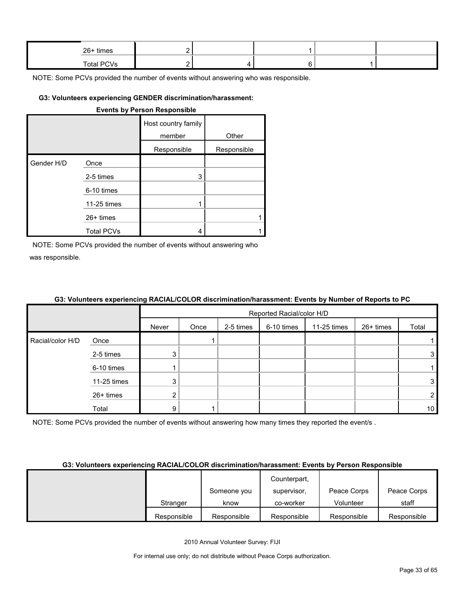| $26+$ times |  |  |  |
|-------------|--|--|--|
| Total PCVs  |  |  |  |

#### **G3: Volunteers experiencing GENDER discrimination/harassment:**

|            |                   | <b>Events by Person Responsible</b> |             |
|------------|-------------------|-------------------------------------|-------------|
|            |                   | Host country family<br>member       | Other       |
|            |                   | Responsible                         | Responsible |
| Gender H/D | Once              |                                     |             |
|            | 2-5 times         | 3                                   |             |
|            | 6-10 times        |                                     |             |
|            | 11-25 times       | 1                                   |             |
|            | $26+$ times       |                                     | 1           |
|            | <b>Total PCVs</b> | 4                                   |             |

NOTE: Some PCVs provided the number of events without answering who was responsible.

#### **G3: Volunteers experiencing RACIAL/COLOR discrimination/harassment: Events by Number of Reports to PC**

|                  |             |        | Reported Racial/color H/D |           |            |             |           |                 |
|------------------|-------------|--------|---------------------------|-----------|------------|-------------|-----------|-----------------|
|                  |             | Never  | Once                      | 2-5 times | 6-10 times | 11-25 times | 26+ times | Total           |
| Racial/color H/D | Once        |        |                           |           |            |             |           |                 |
|                  | 2-5 times   | 3      |                           |           |            |             |           | 3               |
|                  | 6-10 times  |        |                           |           |            |             |           |                 |
|                  | 11-25 times | 3      |                           |           |            |             |           | 3 <sup>1</sup>  |
|                  | 26+ times   | ◠<br>∠ |                           |           |            |             |           | $\overline{2}$  |
|                  | Total       | 9      |                           |           |            |             |           | 10 <sup>1</sup> |

NOTE: Some PCVs provided the number of events without answering how many times they reported the event/s.

#### **G3: Volunteers experiencing RACIAL/COLOR discrimination/harassment: Events by Person Responsible**

|             |             | Counterpart, |             |             |
|-------------|-------------|--------------|-------------|-------------|
|             | Someone you | supervisor,  | Peace Corps | Peace Corps |
| Stranger    | know        | co-worker    | Volunteer   | staff       |
| Responsible | Responsible | Responsible  | Responsible | Responsible |

2010 Annual Volunteer Survey: FIJI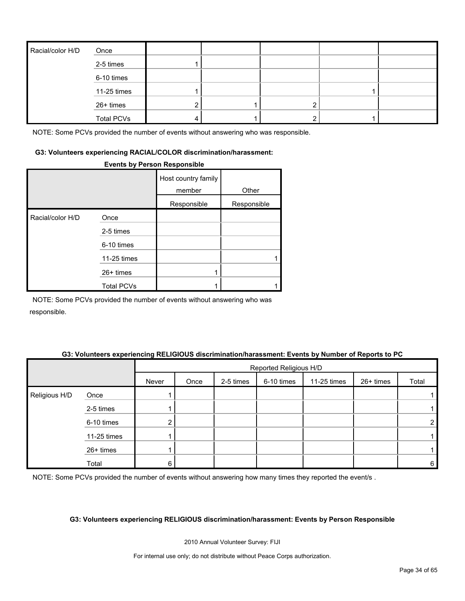| Racial/color H/D | Once              |  |   |  |
|------------------|-------------------|--|---|--|
|                  | 2-5 times         |  |   |  |
|                  | 6-10 times        |  |   |  |
|                  | 11-25 times       |  |   |  |
|                  | 26+ times         |  | ົ |  |
|                  | <b>Total PCVs</b> |  | ົ |  |

#### **G3: Volunteers experiencing RACIAL/COLOR discrimination/harassment:**

#### **Events by Person Responsible**

|                  |                   | Host country family<br>member | Other       |
|------------------|-------------------|-------------------------------|-------------|
|                  |                   | Responsible                   | Responsible |
| Racial/color H/D | Once              |                               |             |
|                  | 2-5 times         |                               |             |
|                  | 6-10 times        |                               |             |
|                  | 11-25 times       |                               |             |
|                  | $26+$ times       |                               |             |
|                  | <b>Total PCVs</b> |                               |             |

NOTE: Some PCVs provided the number of events without answering who was responsible.

#### **G3: Volunteers experiencing RELIGIOUS discrimination/harassment: Events by Number of Reports to PC**

|               |             |       | Reported Religious H/D |           |            |             |           |       |  |
|---------------|-------------|-------|------------------------|-----------|------------|-------------|-----------|-------|--|
|               |             | Never | Once                   | 2-5 times | 6-10 times | 11-25 times | 26+ times | Total |  |
| Religious H/D | Once        |       |                        |           |            |             |           |       |  |
|               | 2-5 times   |       |                        |           |            |             |           |       |  |
|               | 6-10 times  | ົ     |                        |           |            |             |           | ∠     |  |
|               | 11-25 times |       |                        |           |            |             |           |       |  |
|               | 26+ times   |       |                        |           |            |             |           |       |  |
|               | Total       | 6     |                        |           |            |             |           | 6     |  |

NOTE: Some PCVs provided the number of events without answering how many times they reported the event/s.

#### **G3: Volunteers experiencing RELIGIOUS discrimination/harassment: Events by Person Responsible**

2010 Annual Volunteer Survey: FIJI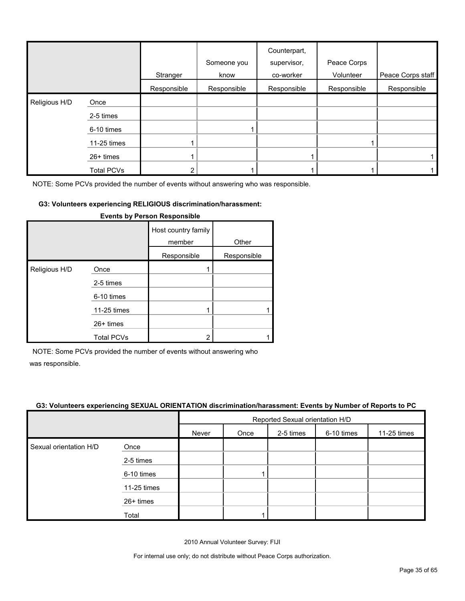|               |                   | Stranger    | Someone you<br>know | Counterpart,<br>supervisor,<br>co-worker | Peace Corps<br>Volunteer | Peace Corps staff |
|---------------|-------------------|-------------|---------------------|------------------------------------------|--------------------------|-------------------|
|               |                   | Responsible | Responsible         | Responsible                              | Responsible              | Responsible       |
| Religious H/D | Once              |             |                     |                                          |                          |                   |
|               | 2-5 times         |             |                     |                                          |                          |                   |
|               | 6-10 times        |             |                     |                                          |                          |                   |
|               | 11-25 times       |             |                     |                                          |                          |                   |
|               | 26+ times         |             |                     |                                          |                          |                   |
|               | <b>Total PCVs</b> | ◠           |                     |                                          |                          |                   |

#### **G3: Volunteers experiencing RELIGIOUS discrimination/harassment:**

|               |                   | Host country family<br>member | Other       |
|---------------|-------------------|-------------------------------|-------------|
|               |                   | Responsible                   | Responsible |
| Religious H/D | Once              |                               |             |
|               | 2-5 times         |                               |             |
|               | 6-10 times        |                               |             |
|               | 11-25 times       |                               |             |
|               | $26+$ times       |                               |             |
|               | <b>Total PCVs</b> | 2                             |             |

#### **Events by Person Responsible**

NOTE: Some PCVs provided the number of events without answering who

was responsible.

#### **G3: Volunteers experiencing SEXUAL ORIENTATION discrimination/harassment: Events by Number of Reports to PC**

|                        |             | Reported Sexual orientation H/D                         |  |  |  |  |  |
|------------------------|-------------|---------------------------------------------------------|--|--|--|--|--|
|                        |             | 6-10 times<br>11-25 times<br>2-5 times<br>Never<br>Once |  |  |  |  |  |
| Sexual orientation H/D | Once        |                                                         |  |  |  |  |  |
|                        | 2-5 times   |                                                         |  |  |  |  |  |
|                        | 6-10 times  |                                                         |  |  |  |  |  |
|                        | 11-25 times |                                                         |  |  |  |  |  |
|                        | 26+ times   |                                                         |  |  |  |  |  |
|                        | Total       |                                                         |  |  |  |  |  |

2010 Annual Volunteer Survey: FIJI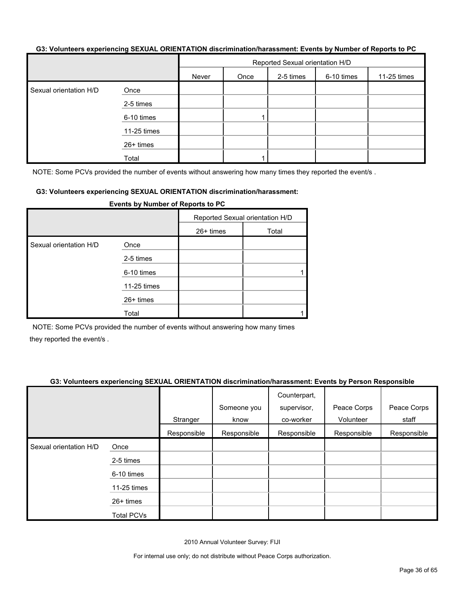#### **G3: Volunteers experiencing SEXUAL ORIENTATION discrimination/harassment: Events by Number of Reports to PC**

|                        |             | Reported Sexual orientation H/D |      |           |            |             |  |
|------------------------|-------------|---------------------------------|------|-----------|------------|-------------|--|
|                        |             | Never                           | Once | 2-5 times | 6-10 times | 11-25 times |  |
| Sexual orientation H/D | Once        |                                 |      |           |            |             |  |
|                        | 2-5 times   |                                 |      |           |            |             |  |
|                        | 6-10 times  |                                 |      |           |            |             |  |
|                        | 11-25 times |                                 |      |           |            |             |  |
|                        | 26+ times   |                                 |      |           |            |             |  |
|                        | Total       |                                 |      |           |            |             |  |

NOTE: Some PCVs provided the number of events without answering how many times they reported the event/s.

#### **G3: Volunteers experiencing SEXUAL ORIENTATION discrimination/harassment:**

|                        | . . <u>.</u> |                                 |       |  |
|------------------------|--------------|---------------------------------|-------|--|
|                        |              | Reported Sexual orientation H/D |       |  |
|                        |              | 26+ times                       | Total |  |
| Sexual orientation H/D | Once         |                                 |       |  |
|                        | 2-5 times    |                                 |       |  |
|                        | 6-10 times   |                                 |       |  |
|                        | 11-25 times  |                                 |       |  |
|                        | 26+ times    |                                 |       |  |
|                        | Total        |                                 |       |  |

**Events by Number of Reports to PC**

NOTE: Some PCVs provided the number of events without answering how many times they reported the event/s .

#### **G3: Volunteers experiencing SEXUAL ORIENTATION discrimination/harassment: Events by Person Responsible**

|                        |                   | Stranger    | Someone you<br>know | Counterpart,<br>supervisor,<br>co-worker | Peace Corps<br>Volunteer | Peace Corps<br>staff |
|------------------------|-------------------|-------------|---------------------|------------------------------------------|--------------------------|----------------------|
|                        |                   | Responsible | Responsible         | Responsible                              | Responsible              | Responsible          |
| Sexual orientation H/D | Once              |             |                     |                                          |                          |                      |
|                        | 2-5 times         |             |                     |                                          |                          |                      |
|                        | 6-10 times        |             |                     |                                          |                          |                      |
|                        | 11-25 times       |             |                     |                                          |                          |                      |
|                        | $26+$ times       |             |                     |                                          |                          |                      |
|                        | <b>Total PCVs</b> |             |                     |                                          |                          |                      |

2010 Annual Volunteer Survey: FIJI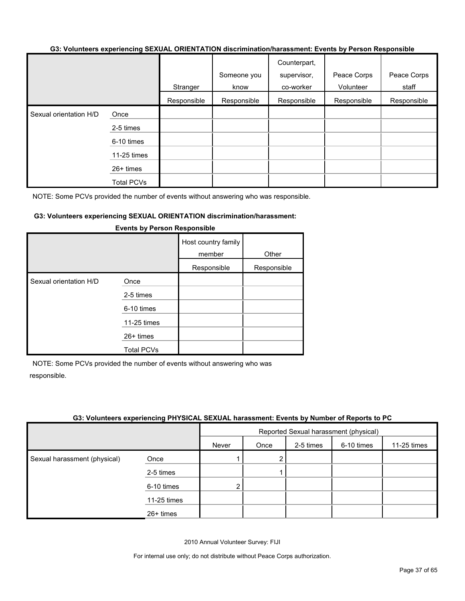#### **G3: Volunteers experiencing SEXUAL ORIENTATION discrimination/harassment: Events by Person Responsible**

|                        |                   |             | Someone you | Counterpart,<br>supervisor, | Peace Corps | Peace Corps |
|------------------------|-------------------|-------------|-------------|-----------------------------|-------------|-------------|
|                        |                   | Stranger    | know        | co-worker                   | Volunteer   | staff       |
|                        |                   | Responsible | Responsible | Responsible                 | Responsible | Responsible |
| Sexual orientation H/D | Once              |             |             |                             |             |             |
|                        | 2-5 times         |             |             |                             |             |             |
|                        | 6-10 times        |             |             |                             |             |             |
|                        | 11-25 times       |             |             |                             |             |             |
|                        | 26+ times         |             |             |                             |             |             |
|                        | <b>Total PCVs</b> |             |             |                             |             |             |

NOTE: Some PCVs provided the number of events without answering who was responsible.

#### **G3: Volunteers experiencing SEXUAL ORIENTATION discrimination/harassment:**

|                        |                   | Host country family<br>member<br>Responsible | Other<br>Responsible |
|------------------------|-------------------|----------------------------------------------|----------------------|
| Sexual orientation H/D | Once              |                                              |                      |
|                        | 2-5 times         |                                              |                      |
|                        | 6-10 times        |                                              |                      |
|                        | 11-25 times       |                                              |                      |
|                        | $26+$ times       |                                              |                      |
|                        | <b>Total PCVs</b> |                                              |                      |

#### **Events by Person Responsible**

NOTE: Some PCVs provided the number of events without answering who was responsible.

#### **G3: Volunteers experiencing PHYSICAL SEXUAL harassment: Events by Number of Reports to PC**

|                              |             | Reported Sexual harassment (physical) |      |           |            |             |
|------------------------------|-------------|---------------------------------------|------|-----------|------------|-------------|
|                              |             | Never                                 | Once | 2-5 times | 6-10 times | 11-25 times |
| Sexual harassment (physical) | Once        |                                       | 2    |           |            |             |
|                              | 2-5 times   |                                       |      |           |            |             |
|                              | 6-10 times  | $\overline{2}$                        |      |           |            |             |
|                              | 11-25 times |                                       |      |           |            |             |
|                              | 26+ times   |                                       |      |           |            |             |

2010 Annual Volunteer Survey: FIJI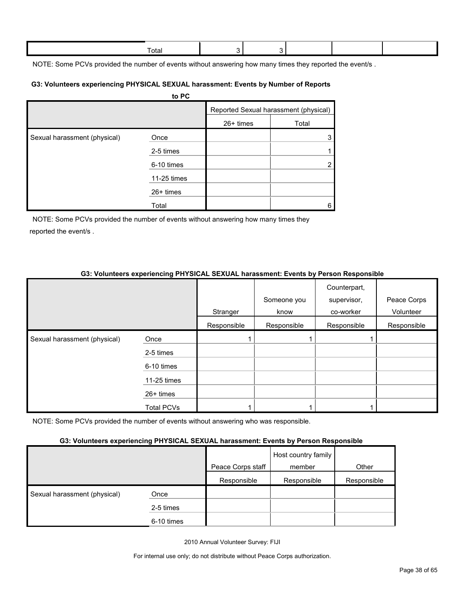| Γotal |  |  |  |
|-------|--|--|--|
|       |  |  |  |

NOTE: Some PCVs provided the number of events without answering how many times they reported the event/s.

#### **G3: Volunteers experiencing PHYSICAL SEXUAL harassment: Events by Number of Reports**

|                              | to PC       |             |                                       |
|------------------------------|-------------|-------------|---------------------------------------|
|                              |             |             | Reported Sexual harassment (physical) |
|                              |             | $26+$ times | Total                                 |
| Sexual harassment (physical) | Once        |             | 3                                     |
|                              | 2-5 times   |             |                                       |
|                              | 6-10 times  |             | $\overline{2}$                        |
|                              | 11-25 times |             |                                       |
|                              | 26+ times   |             |                                       |
|                              | Total       |             | 6                                     |

NOTE: Some PCVs provided the number of events without answering how many times they reported the event/s .

## **G3: Volunteers experiencing PHYSICAL SEXUAL harassment: Events by Person Responsible**

|                              |                   | Stranger    | Someone you<br>know | Counterpart,<br>supervisor,<br>co-worker | Peace Corps<br>Volunteer |
|------------------------------|-------------------|-------------|---------------------|------------------------------------------|--------------------------|
|                              |                   | Responsible | Responsible         | Responsible                              | Responsible              |
| Sexual harassment (physical) | Once              |             |                     |                                          |                          |
|                              | 2-5 times         |             |                     |                                          |                          |
|                              | 6-10 times        |             |                     |                                          |                          |
|                              | 11-25 times       |             |                     |                                          |                          |
|                              | $26+$ times       |             |                     |                                          |                          |
|                              | <b>Total PCVs</b> |             |                     |                                          |                          |

NOTE: Some PCVs provided the number of events without answering who was responsible.

#### **G3: Volunteers experiencing PHYSICAL SEXUAL harassment: Events by Person Responsible**

|                              | . .        |                   |                               |             |
|------------------------------|------------|-------------------|-------------------------------|-------------|
|                              |            | Peace Corps staff | Host country family<br>member | Other       |
|                              |            | Responsible       | Responsible                   | Responsible |
| Sexual harassment (physical) | Once       |                   |                               |             |
|                              | 2-5 times  |                   |                               |             |
|                              | 6-10 times |                   |                               |             |

2010 Annual Volunteer Survey: FIJI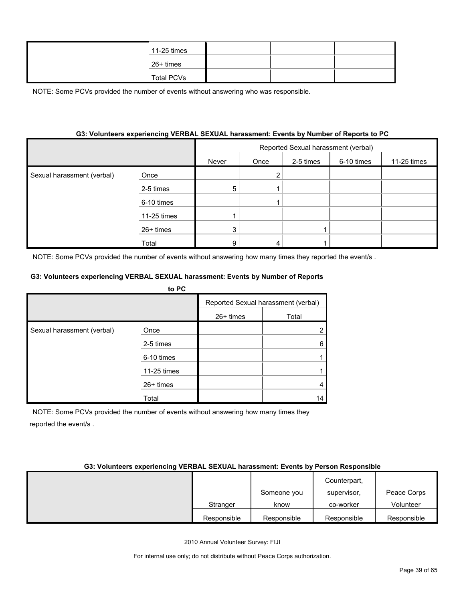| 11-25 times       |  |  |
|-------------------|--|--|
| 26+ times         |  |  |
| <b>Total PCVs</b> |  |  |

#### **G3: Volunteers experiencing VERBAL SEXUAL harassment: Events by Number of Reports to PC**

|                            |             | Reported Sexual harassment (verbal) |      |           |            |             |
|----------------------------|-------------|-------------------------------------|------|-----------|------------|-------------|
|                            |             | Never                               | Once | 2-5 times | 6-10 times | 11-25 times |
| Sexual harassment (verbal) | Once        |                                     |      |           |            |             |
|                            | 2-5 times   | 5                                   |      |           |            |             |
|                            | 6-10 times  |                                     |      |           |            |             |
|                            | 11-25 times |                                     |      |           |            |             |
|                            | 26+ times   | ົ                                   |      |           |            |             |
|                            | Total       | 9                                   |      |           |            |             |

NOTE: Some PCVs provided the number of events without answering how many times they reported the event/s.

#### **G3: Volunteers experiencing VERBAL SEXUAL harassment: Events by Number of Reports**

|                            | to PC       |             |                                     |
|----------------------------|-------------|-------------|-------------------------------------|
|                            |             |             | Reported Sexual harassment (verbal) |
|                            |             | $26+$ times | Total                               |
| Sexual harassment (verbal) | Once        |             |                                     |
|                            | 2-5 times   |             |                                     |
|                            | 6-10 times  |             |                                     |
|                            | 11-25 times |             |                                     |
|                            | $26+$ times |             |                                     |
|                            | Total       |             | 14                                  |

NOTE: Some PCVs provided the number of events without answering how many times they reported the event/s .

#### **G3: Volunteers experiencing VERBAL SEXUAL harassment: Events by Person Responsible**

|             |             | Counterpart, |             |
|-------------|-------------|--------------|-------------|
|             | Someone you | supervisor,  | Peace Corps |
| Stranger    | know        | co-worker    | Volunteer   |
| Responsible | Responsible | Responsible  | Responsible |

2010 Annual Volunteer Survey: FIJI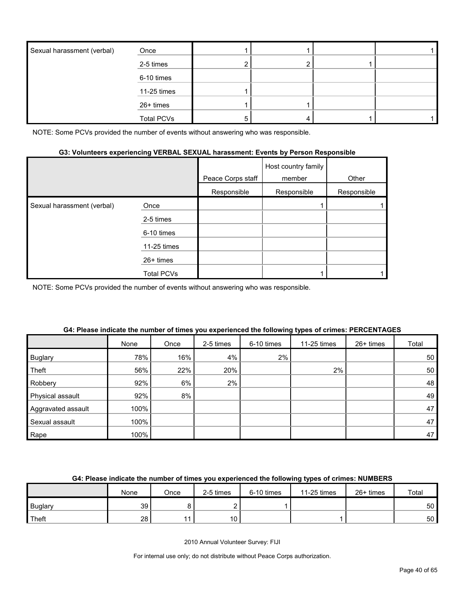| Sexual harassment (verbal) | Once              |   |  |  |
|----------------------------|-------------------|---|--|--|
|                            | 2-5 times         |   |  |  |
|                            | 6-10 times        |   |  |  |
|                            | 11-25 times       |   |  |  |
|                            | 26+ times         |   |  |  |
|                            | <b>Total PCVs</b> | 5 |  |  |

# **G3: Volunteers experiencing VERBAL SEXUAL harassment: Events by Person Responsible**

|                            |             | Peace Corps staff | Host country family<br>member | Other       |
|----------------------------|-------------|-------------------|-------------------------------|-------------|
|                            |             | Responsible       | Responsible                   | Responsible |
| Sexual harassment (verbal) | Once        |                   |                               |             |
|                            | 2-5 times   |                   |                               |             |
|                            | 6-10 times  |                   |                               |             |
|                            | 11-25 times |                   |                               |             |
|                            | $26+$ times |                   |                               |             |
|                            | Total PCVs  |                   |                               |             |

NOTE: Some PCVs provided the number of events without answering who was responsible.

|                    | None | Once | 2-5 times | 6-10 times | 11-25 times | 26+ times | Total |
|--------------------|------|------|-----------|------------|-------------|-----------|-------|
| <b>Buglary</b>     | 78%  | 16%  | 4%        | 2%         |             |           | 50    |
| Theft              | 56%  | 22%  | 20%       |            | 2%          |           | 50    |
| Robbery            | 92%  | 6%   | 2%        |            |             |           | 48    |
| Physical assault   | 92%  | 8%   |           |            |             |           | 49    |
| Aggravated assault | 100% |      |           |            |             |           | 47    |
| Sexual assault     | 100% |      |           |            |             |           | 47    |
| Rape               | 100% |      |           |            |             |           | 47    |

#### **G4: Please indicate the number of times you experienced the following types of crimes: PERCENTAGES**

## **G4: Please indicate the number of times you experienced the following types of crimes: NUMBERS**

|                | None | Once | 2-5 times | 6-10 times | 11-25 times | 26+ times | Total           |
|----------------|------|------|-----------|------------|-------------|-----------|-----------------|
| <b>Buglary</b> | 39   |      |           |            |             |           | 50 <sup>°</sup> |
| Theft          | 28   |      | 10        |            |             |           | 50 <sub>1</sub> |

2010 Annual Volunteer Survey: FIJI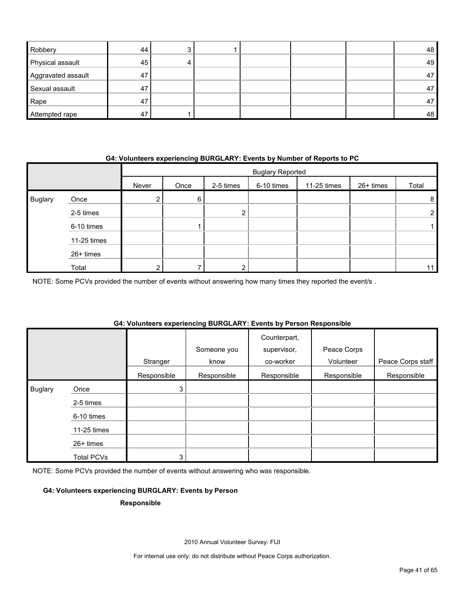| Robbery            | 44 |  |  | 48 |
|--------------------|----|--|--|----|
| Physical assault   | 45 |  |  | 49 |
| Aggravated assault | 47 |  |  | 47 |
| Sexual assault     | 47 |  |  | 47 |
| Rape               | 47 |  |  | 47 |
| Attempted rape     | 47 |  |  | 48 |

#### **G4: Volunteers experiencing BURGLARY: Events by Number of Reports to PC**

|                |             |       | <b>Buglary Reported</b> |           |            |             |           |                 |
|----------------|-------------|-------|-------------------------|-----------|------------|-------------|-----------|-----------------|
|                |             | Never | Once                    | 2-5 times | 6-10 times | 11-25 times | 26+ times | Total           |
| <b>Buglary</b> | Once        | ے     | 6                       |           |            |             |           | 8 <sup>1</sup>  |
|                | 2-5 times   |       |                         | ົ         |            |             |           | $\overline{2}$  |
|                | 6-10 times  |       |                         |           |            |             |           |                 |
|                | 11-25 times |       |                         |           |            |             |           |                 |
|                | 26+ times   |       |                         |           |            |             |           |                 |
|                | Total       | ົ     |                         | ົ         |            |             |           | 11 <sub>1</sub> |

NOTE: Some PCVs provided the number of events without answering how many times they reported the event/s .

## **G4: Volunteers experiencing BURGLARY: Events by Person Responsible**

|                |             | Stranger    | Someone you<br>know | Counterpart,<br>supervisor,<br>co-worker | Peace Corps<br>Volunteer | Peace Corps staff |
|----------------|-------------|-------------|---------------------|------------------------------------------|--------------------------|-------------------|
|                |             | Responsible | Responsible         | Responsible                              | Responsible              | Responsible       |
| <b>Buglary</b> | Once        | 3           |                     |                                          |                          |                   |
|                | 2-5 times   |             |                     |                                          |                          |                   |
|                | 6-10 times  |             |                     |                                          |                          |                   |
|                | 11-25 times |             |                     |                                          |                          |                   |
|                | 26+ times   |             |                     |                                          |                          |                   |
|                | Total PCVs  | 3           |                     |                                          |                          |                   |

NOTE: Some PCVs provided the number of events without answering who was responsible.

#### **G4: Volunteers experiencing BURGLARY: Events by Person**

#### **Responsible**

2010 Annual Volunteer Survey: FIJI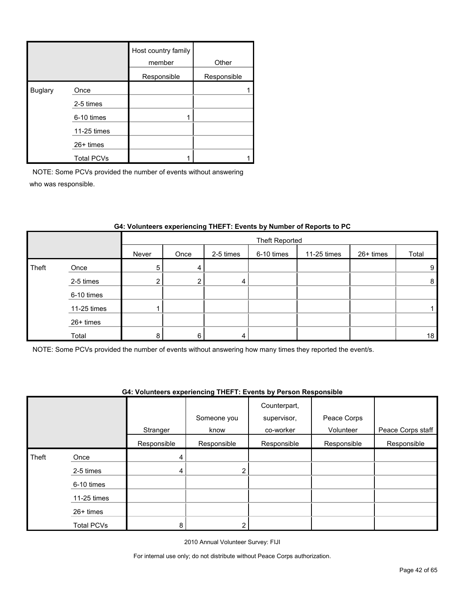|                |                   | Host country family<br>member | Other       |
|----------------|-------------------|-------------------------------|-------------|
|                |                   | Responsible                   | Responsible |
| <b>Buglary</b> | Once              |                               |             |
|                | 2-5 times         |                               |             |
|                | 6-10 times        |                               |             |
|                | 11-25 times       |                               |             |
|                | $26+$ times       |                               |             |
|                | <b>Total PCVs</b> |                               |             |

|       |             |       | Theft Reported |           |            |             |           |       |
|-------|-------------|-------|----------------|-----------|------------|-------------|-----------|-------|
|       |             | Never | Once           | 2-5 times | 6-10 times | 11-25 times | 26+ times | Total |
| Theft | Once        | 5     | 4              |           |            |             |           | 9     |
|       | 2-5 times   | ◠     |                | 4         |            |             |           | 8     |
|       | 6-10 times  |       |                |           |            |             |           |       |
|       | 11-25 times |       |                |           |            |             |           |       |
|       | 26+ times   |       |                |           |            |             |           |       |
|       | Total       | 8     | ĥ              | 4         |            |             |           | 18    |

#### **G4: Volunteers experiencing THEFT: Events by Number of Reports to PC**

NOTE: Some PCVs provided the number of events without answering how many times they reported the event/s.

#### **G4: Volunteers experiencing THEFT: Events by Person Responsible**

|       |                   |             |             | Counterpart, |             |                   |
|-------|-------------------|-------------|-------------|--------------|-------------|-------------------|
|       |                   |             | Someone you | supervisor,  | Peace Corps |                   |
|       |                   | Stranger    | know        | co-worker    | Volunteer   | Peace Corps staff |
|       |                   | Responsible | Responsible | Responsible  | Responsible | Responsible       |
| Theft | Once              | 4           |             |              |             |                   |
|       | 2-5 times         | 4           | っ           |              |             |                   |
|       | 6-10 times        |             |             |              |             |                   |
|       | 11-25 times       |             |             |              |             |                   |
|       | $26+$ times       |             |             |              |             |                   |
|       | <b>Total PCVs</b> | 8           |             |              |             |                   |

2010 Annual Volunteer Survey: FIJI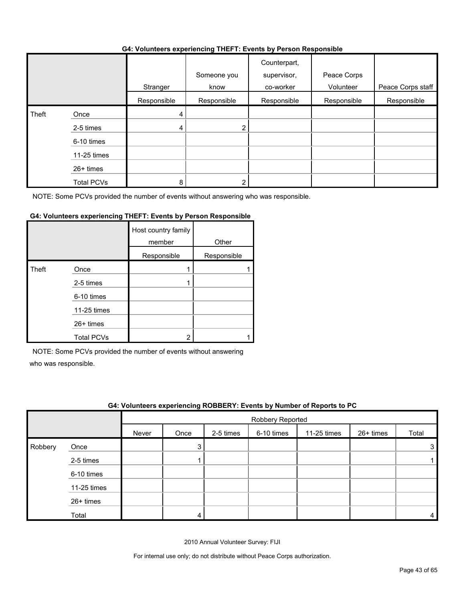#### **G4: Volunteers experiencing THEFT: Events by Person Responsible**

|       |                   | .           | $\sim$              | .                                        |                          |                   |
|-------|-------------------|-------------|---------------------|------------------------------------------|--------------------------|-------------------|
|       |                   | Stranger    | Someone you<br>know | Counterpart,<br>supervisor,<br>co-worker | Peace Corps<br>Volunteer | Peace Corps staff |
|       |                   | Responsible | Responsible         | Responsible                              | Responsible              | Responsible       |
| Theft | Once              | 4           |                     |                                          |                          |                   |
|       | 2-5 times         | 4           | າ                   |                                          |                          |                   |
|       | 6-10 times        |             |                     |                                          |                          |                   |
|       | 11-25 times       |             |                     |                                          |                          |                   |
|       | 26+ times         |             |                     |                                          |                          |                   |
|       | <b>Total PCVs</b> | 8           |                     |                                          |                          |                   |

NOTE: Some PCVs provided the number of events without answering who was responsible.

#### **G4: Volunteers experiencing THEFT: Events by Person Responsible**

|       |                   | Host country family<br>member | Other       |
|-------|-------------------|-------------------------------|-------------|
|       |                   | Responsible                   | Responsible |
| Theft | Once              |                               |             |
|       | 2-5 times         |                               |             |
|       | 6-10 times        |                               |             |
|       | 11-25 times       |                               |             |
|       | 26+ times         |                               |             |
|       | <b>Total PCVs</b> | ◠                             |             |

NOTE: Some PCVs provided the number of events without answering

who was responsible.

|         | G4: Volunteers experiencing ROBBERY: Events by Number of Reports to PC |       |                  |           |            |             |           |       |  |
|---------|------------------------------------------------------------------------|-------|------------------|-----------|------------|-------------|-----------|-------|--|
|         |                                                                        |       | Robbery Reported |           |            |             |           |       |  |
|         |                                                                        | Never | Once             | 2-5 times | 6-10 times | 11-25 times | 26+ times | Total |  |
| Robbery | Once                                                                   |       | 3                |           |            |             |           |       |  |
|         | 2-5 times                                                              |       |                  |           |            |             |           |       |  |
|         | 6-10 times                                                             |       |                  |           |            |             |           |       |  |
|         | 11-25 times                                                            |       |                  |           |            |             |           |       |  |
|         | 26+ times                                                              |       |                  |           |            |             |           |       |  |
|         | Total                                                                  |       |                  |           |            |             |           |       |  |

2010 Annual Volunteer Survey: FIJI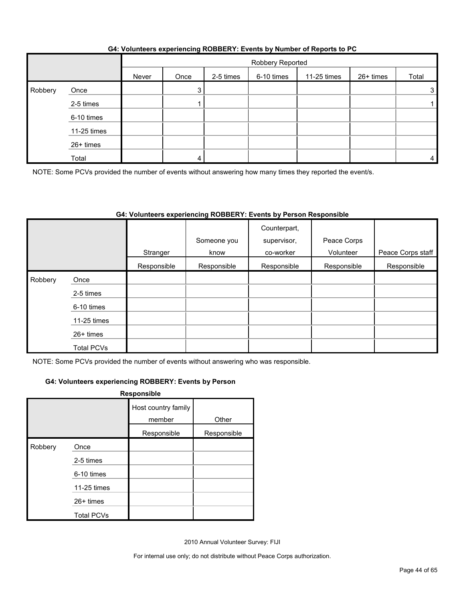|         |             | Robbery Reported |      |           |            |             |           |       |
|---------|-------------|------------------|------|-----------|------------|-------------|-----------|-------|
|         |             | Never            | Once | 2-5 times | 6-10 times | 11-25 times | 26+ times | Total |
| Robbery | Once        |                  | 3    |           |            |             |           | 3     |
|         | 2-5 times   |                  |      |           |            |             |           |       |
|         | 6-10 times  |                  |      |           |            |             |           |       |
|         | 11-25 times |                  |      |           |            |             |           |       |
|         | 26+ times   |                  |      |           |            |             |           |       |
|         | Total       |                  |      |           |            |             |           | 4     |

#### **G4: Volunteers experiencing ROBBERY: Events by Number of Reports to PC**

NOTE: Some PCVs provided the number of events without answering how many times they reported the event/s.

#### **G4: Volunteers experiencing ROBBERY: Events by Person Responsible**

|         |                   | Stranger    | Someone you<br>know | Counterpart,<br>supervisor,<br>co-worker | Peace Corps<br>Volunteer | Peace Corps staff |
|---------|-------------------|-------------|---------------------|------------------------------------------|--------------------------|-------------------|
|         |                   | Responsible | Responsible         | Responsible                              | Responsible              | Responsible       |
| Robbery | Once              |             |                     |                                          |                          |                   |
|         | 2-5 times         |             |                     |                                          |                          |                   |
|         | 6-10 times        |             |                     |                                          |                          |                   |
|         | 11-25 times       |             |                     |                                          |                          |                   |
|         | 26+ times         |             |                     |                                          |                          |                   |
|         | <b>Total PCVs</b> |             |                     |                                          |                          |                   |

NOTE: Some PCVs provided the number of events without answering who was responsible.

#### **G4: Volunteers experiencing ROBBERY: Events by Person**

|         |                   | Responsible                   |             |
|---------|-------------------|-------------------------------|-------------|
|         |                   | Host country family<br>member | Other       |
|         |                   | Responsible                   | Responsible |
| Robbery | Once              |                               |             |
|         | 2-5 times         |                               |             |
|         | 6-10 times        |                               |             |
|         | 11-25 times       |                               |             |
|         | 26+ times         |                               |             |
|         | <b>Total PCVs</b> |                               |             |

2010 Annual Volunteer Survey: FIJI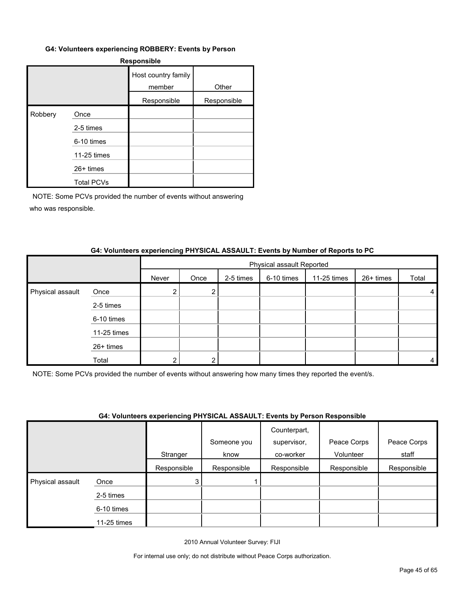#### **G4: Volunteers experiencing ROBBERY: Events by Person**

| <b>Responsible</b> |                   |                               |             |  |  |  |  |
|--------------------|-------------------|-------------------------------|-------------|--|--|--|--|
|                    |                   | Host country family<br>member | Other       |  |  |  |  |
|                    |                   | Responsible                   | Responsible |  |  |  |  |
| Robbery            | Once              |                               |             |  |  |  |  |
|                    | 2-5 times         |                               |             |  |  |  |  |
|                    | 6-10 times        |                               |             |  |  |  |  |
|                    | 11-25 times       |                               |             |  |  |  |  |
|                    | 26+ times         |                               |             |  |  |  |  |
|                    | <b>Total PCVs</b> |                               |             |  |  |  |  |

NOTE: Some PCVs provided the number of events without answering who was responsible.

#### **G4: Volunteers experiencing PHYSICAL ASSAULT: Events by Number of Reports to PC**

|                  |             | Physical assault Reported |      |           |            |             |           |       |
|------------------|-------------|---------------------------|------|-----------|------------|-------------|-----------|-------|
|                  |             | Never                     | Once | 2-5 times | 6-10 times | 11-25 times | 26+ times | Total |
| Physical assault | Once        |                           | 2    |           |            |             |           | 4     |
|                  | 2-5 times   |                           |      |           |            |             |           |       |
|                  | 6-10 times  |                           |      |           |            |             |           |       |
|                  | 11-25 times |                           |      |           |            |             |           |       |
|                  | 26+ times   |                           |      |           |            |             |           |       |
|                  | Total       |                           |      |           |            |             |           | 4     |

NOTE: Some PCVs provided the number of events without answering how many times they reported the event/s.

#### **G4: Volunteers experiencing PHYSICAL ASSAULT: Events by Person Responsible**

|                  |             | . . <b>.</b> | Someone you | .<br>Counterpart,<br>supervisor, | Peace Corps | Peace Corps |
|------------------|-------------|--------------|-------------|----------------------------------|-------------|-------------|
|                  |             | Stranger     | know        | co-worker                        | Volunteer   | staff       |
|                  |             | Responsible  | Responsible | Responsible                      | Responsible | Responsible |
| Physical assault | Once        | 3            |             |                                  |             |             |
|                  | 2-5 times   |              |             |                                  |             |             |
|                  | 6-10 times  |              |             |                                  |             |             |
|                  | 11-25 times |              |             |                                  |             |             |

2010 Annual Volunteer Survey: FIJI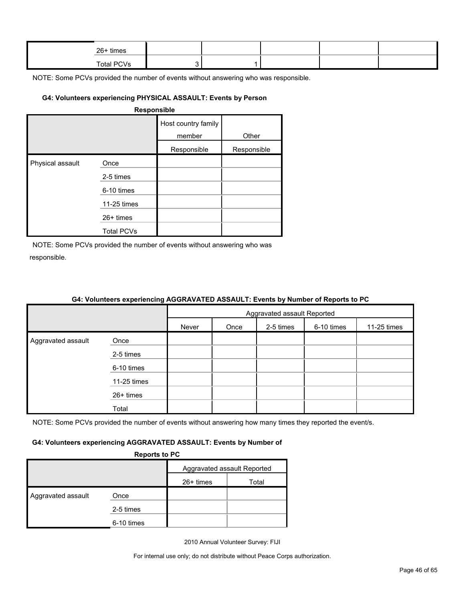| 26+ times |  |  |  |
|-----------|--|--|--|
| $T - 4$   |  |  |  |

#### **G4: Volunteers experiencing PHYSICAL ASSAULT: Events by Person**

| <b>Responsible</b> |
|--------------------|
|--------------------|

|                  |                   | Host country family<br>member | Other       |
|------------------|-------------------|-------------------------------|-------------|
|                  |                   | Responsible                   | Responsible |
| Physical assault | Once              |                               |             |
|                  | 2-5 times         |                               |             |
|                  | 6-10 times        |                               |             |
|                  | 11-25 times       |                               |             |
|                  | $26+$ times       |                               |             |
|                  | <b>Total PCVs</b> |                               |             |

NOTE: Some PCVs provided the number of events without answering who was responsible.

|                    |             | <b>O</b> TH TURNING UAPONUMING AGON UNTER AGONGET: ETVING BY HUMMUL OF RUPUNG 10 FOR |  |  |  |  |  |  |
|--------------------|-------------|--------------------------------------------------------------------------------------|--|--|--|--|--|--|
|                    |             | Aggravated assault Reported                                                          |  |  |  |  |  |  |
|                    |             | Never<br>6-10 times<br>2-5 times<br>11-25 times<br>Once                              |  |  |  |  |  |  |
| Aggravated assault | Once        |                                                                                      |  |  |  |  |  |  |
|                    | 2-5 times   |                                                                                      |  |  |  |  |  |  |
|                    | 6-10 times  |                                                                                      |  |  |  |  |  |  |
|                    | 11-25 times |                                                                                      |  |  |  |  |  |  |
|                    | 26+ times   |                                                                                      |  |  |  |  |  |  |
|                    | Total       |                                                                                      |  |  |  |  |  |  |

#### **G4: Volunteers experiencing AGGRAVATED ASSAULT: Events by Number of Reports to PC**

NOTE: Some PCVs provided the number of events without answering how many times they reported the event/s.

#### **G4: Volunteers experiencing AGGRAVATED ASSAULT: Events by Number of**

**Reports to PC**

| --------           |            |                             |       |  |  |
|--------------------|------------|-----------------------------|-------|--|--|
|                    |            | Aggravated assault Reported |       |  |  |
|                    |            | 26+ times                   | Total |  |  |
| Aggravated assault | Once       |                             |       |  |  |
|                    | 2-5 times  |                             |       |  |  |
|                    | 6-10 times |                             |       |  |  |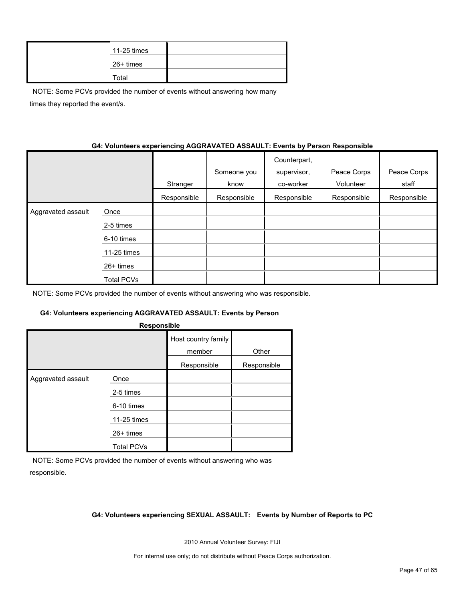| 11-25 times |  |
|-------------|--|
| 26+ times   |  |
| Total       |  |

NOTE: Some PCVs provided the number of events without answering how many times they reported the event/s.

#### **G4: Volunteers experiencing AGGRAVATED ASSAULT: Events by Person Responsible**

|                    |             | Stranger    | Someone you<br>know | Counterpart,<br>supervisor,<br>co-worker | Peace Corps<br>Volunteer | Peace Corps<br>staff |
|--------------------|-------------|-------------|---------------------|------------------------------------------|--------------------------|----------------------|
|                    |             | Responsible | Responsible         | Responsible                              | Responsible              | Responsible          |
| Aggravated assault | Once        |             |                     |                                          |                          |                      |
|                    | 2-5 times   |             |                     |                                          |                          |                      |
|                    | 6-10 times  |             |                     |                                          |                          |                      |
|                    | 11-25 times |             |                     |                                          |                          |                      |
|                    | 26+ times   |             |                     |                                          |                          |                      |
|                    | Total PCVs  |             |                     |                                          |                          |                      |

NOTE: Some PCVs provided the number of events without answering who was responsible.

#### **G4: Volunteers experiencing AGGRAVATED ASSAULT: Events by Person**

| Responsible        |                   |                               |             |  |  |  |  |  |  |
|--------------------|-------------------|-------------------------------|-------------|--|--|--|--|--|--|
|                    |                   | Host country family<br>member | Other       |  |  |  |  |  |  |
|                    |                   | Responsible                   | Responsible |  |  |  |  |  |  |
| Aggravated assault | Once              |                               |             |  |  |  |  |  |  |
|                    | 2-5 times         |                               |             |  |  |  |  |  |  |
|                    | 6-10 times        |                               |             |  |  |  |  |  |  |
|                    | 11-25 times       |                               |             |  |  |  |  |  |  |
|                    | 26+ times         |                               |             |  |  |  |  |  |  |
|                    | <b>Total PCVs</b> |                               |             |  |  |  |  |  |  |

NOTE: Some PCVs provided the number of events without answering who was responsible.

#### **G4: Volunteers experiencing SEXUAL ASSAULT: Events by Number of Reports to PC**

2010 Annual Volunteer Survey: FIJI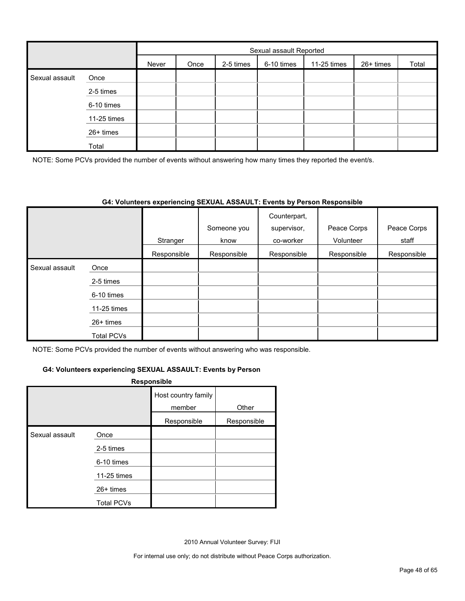|                |             |       | Sexual assault Reported |           |            |             |           |       |  |
|----------------|-------------|-------|-------------------------|-----------|------------|-------------|-----------|-------|--|
|                |             | Never | Once                    | 2-5 times | 6-10 times | 11-25 times | 26+ times | Total |  |
| Sexual assault | Once        |       |                         |           |            |             |           |       |  |
|                | 2-5 times   |       |                         |           |            |             |           |       |  |
|                | 6-10 times  |       |                         |           |            |             |           |       |  |
|                | 11-25 times |       |                         |           |            |             |           |       |  |
|                | 26+ times   |       |                         |           |            |             |           |       |  |
|                | Total       |       |                         |           |            |             |           |       |  |

NOTE: Some PCVs provided the number of events without answering how many times they reported the event/s.

#### **G4: Volunteers experiencing SEXUAL ASSAULT: Events by Person Responsible**

|                |                   |             | Someone you | Counterpart,<br>supervisor, | Peace Corps | Peace Corps |
|----------------|-------------------|-------------|-------------|-----------------------------|-------------|-------------|
|                |                   | Stranger    | know        | co-worker                   | Volunteer   | staff       |
|                |                   | Responsible | Responsible | Responsible                 | Responsible | Responsible |
| Sexual assault | Once              |             |             |                             |             |             |
|                | 2-5 times         |             |             |                             |             |             |
|                | 6-10 times        |             |             |                             |             |             |
|                | 11-25 times       |             |             |                             |             |             |
|                | $26+$ times       |             |             |                             |             |             |
|                | <b>Total PCVs</b> |             |             |                             |             |             |

NOTE: Some PCVs provided the number of events without answering who was responsible.

#### **G4: Volunteers experiencing SEXUAL ASSAULT: Events by Person**

#### **Responsible**

|                |                   | Host country family<br>member | Other       |
|----------------|-------------------|-------------------------------|-------------|
|                |                   | Responsible                   | Responsible |
| Sexual assault | Once              |                               |             |
|                | 2-5 times         |                               |             |
|                | 6-10 times        |                               |             |
|                | 11-25 times       |                               |             |
|                | 26+ times         |                               |             |
|                | <b>Total PCVs</b> |                               |             |

2010 Annual Volunteer Survey: FIJI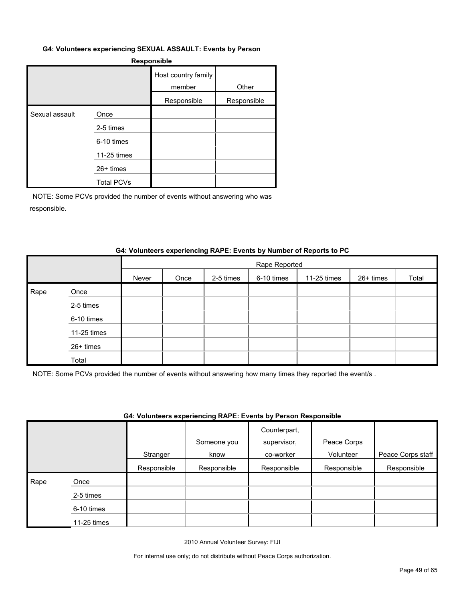#### **G4: Volunteers experiencing SEXUAL ASSAULT: Events by Person**

#### **Responsible**

|                |                   | Host country family<br>member | Other       |
|----------------|-------------------|-------------------------------|-------------|
|                |                   | Responsible                   | Responsible |
| Sexual assault | Once              |                               |             |
|                | 2-5 times         |                               |             |
|                | 6-10 times        |                               |             |
|                | 11-25 times       |                               |             |
|                | $26+$ times       |                               |             |
|                | <b>Total PCVs</b> |                               |             |

NOTE: Some PCVs provided the number of events without answering who was responsible.

#### **G4: Volunteers experiencing RAPE: Events by Number of Reports to PC**

|      |             |       | Rape Reported |           |            |             |           |       |  |  |
|------|-------------|-------|---------------|-----------|------------|-------------|-----------|-------|--|--|
|      |             | Never | Once          | 2-5 times | 6-10 times | 11-25 times | 26+ times | Total |  |  |
| Rape | Once        |       |               |           |            |             |           |       |  |  |
|      | 2-5 times   |       |               |           |            |             |           |       |  |  |
|      | 6-10 times  |       |               |           |            |             |           |       |  |  |
|      | 11-25 times |       |               |           |            |             |           |       |  |  |
|      | 26+ times   |       |               |           |            |             |           |       |  |  |
|      | Total       |       |               |           |            |             |           |       |  |  |

NOTE: Some PCVs provided the number of events without answering how many times they reported the event/s .

#### **G4: Volunteers experiencing RAPE: Events by Person Responsible**

|      |             | Stranger    | Someone you<br>know | Counterpart,<br>supervisor,<br>co-worker | Peace Corps<br>Volunteer | Peace Corps staff |
|------|-------------|-------------|---------------------|------------------------------------------|--------------------------|-------------------|
|      |             | Responsible | Responsible         | Responsible                              | Responsible              | Responsible       |
| Rape | Once        |             |                     |                                          |                          |                   |
|      | 2-5 times   |             |                     |                                          |                          |                   |
|      | 6-10 times  |             |                     |                                          |                          |                   |
|      | 11-25 times |             |                     |                                          |                          |                   |

2010 Annual Volunteer Survey: FIJI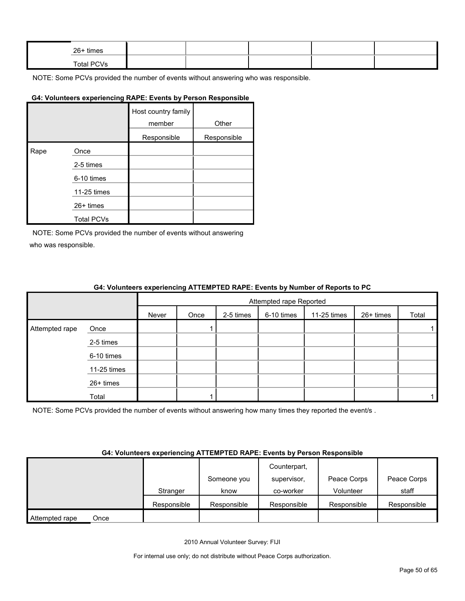| 26+ times  |  |  |  |
|------------|--|--|--|
| Total PCVs |  |  |  |

# **G4: Volunteers experiencing RAPE: Events by Person Responsible**

|      |                   | Host country family<br>member | Other       |
|------|-------------------|-------------------------------|-------------|
|      |                   | Responsible                   | Responsible |
| Rape | Once              |                               |             |
|      | 2-5 times         |                               |             |
|      | 6-10 times        |                               |             |
|      | 11-25 times       |                               |             |
|      | 26+ times         |                               |             |
|      | <b>Total PCVs</b> |                               |             |

NOTE: Some PCVs provided the number of events without answering who was responsible.

#### **G4: Volunteers experiencing ATTEMPTED RAPE: Events by Number of Reports to PC**

|                |             |       | Attempted rape Reported |           |            |             |           |       |  |
|----------------|-------------|-------|-------------------------|-----------|------------|-------------|-----------|-------|--|
|                |             | Never | Once                    | 2-5 times | 6-10 times | 11-25 times | 26+ times | Total |  |
| Attempted rape | Once        |       |                         |           |            |             |           |       |  |
|                | 2-5 times   |       |                         |           |            |             |           |       |  |
|                | 6-10 times  |       |                         |           |            |             |           |       |  |
|                | 11-25 times |       |                         |           |            |             |           |       |  |
|                | 26+ times   |       |                         |           |            |             |           |       |  |
|                | Total       |       |                         |           |            |             |           |       |  |

NOTE: Some PCVs provided the number of events without answering how many times they reported the event/s.

#### **G4: Volunteers experiencing ATTEMPTED RAPE: Events by Person Responsible**

|                        |             |             | Counterpart, |             |             |
|------------------------|-------------|-------------|--------------|-------------|-------------|
|                        |             | Someone you | supervisor,  | Peace Corps | Peace Corps |
|                        | Stranger    | know        | co-worker    | Volunteer   | staff       |
|                        | Responsible | Responsible | Responsible  | Responsible | Responsible |
| Attempted rape<br>Once |             |             |              |             |             |

2010 Annual Volunteer Survey: FIJI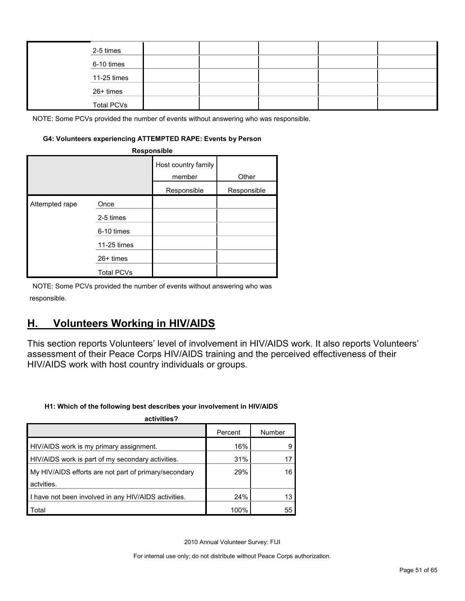| 2-5 times         |  |  |  |
|-------------------|--|--|--|
| 6-10 times        |  |  |  |
| 11-25 times       |  |  |  |
| 26+ times         |  |  |  |
| <b>Total PCVs</b> |  |  |  |

#### **G4: Volunteers experiencing ATTEMPTED RAPE: Events by Person**

| Responsible    |                   |                               |             |  |  |  |  |
|----------------|-------------------|-------------------------------|-------------|--|--|--|--|
|                |                   | Host country family<br>member | Other       |  |  |  |  |
|                |                   | Responsible                   | Responsible |  |  |  |  |
| Attempted rape | Once              |                               |             |  |  |  |  |
|                | 2-5 times         |                               |             |  |  |  |  |
|                | 6-10 times        |                               |             |  |  |  |  |
|                | 11-25 times       |                               |             |  |  |  |  |
|                | $26+$ times       |                               |             |  |  |  |  |
|                | <b>Total PCVs</b> |                               |             |  |  |  |  |

NOTE: Some PCVs provided the number of events without answering who was responsible.

# <span id="page-50-0"></span>**H. Volunteers Working in HIV/AIDS**

This section reports Volunteers' level of involvement in HIV/AIDS work. It also reports Volunteers' assessment of their Peace Corps HIV/AIDS training and the perceived effectiveness of their HIV/AIDS work with host country individuals or groups.

#### **H1: Which of the following best describes your involvement in HIV/AIDS**

| activities?                                           |         |        |  |  |  |  |
|-------------------------------------------------------|---------|--------|--|--|--|--|
|                                                       | Percent | Number |  |  |  |  |
| HIV/AIDS work is my primary assignment.               | 16%     |        |  |  |  |  |
| HIV/AIDS work is part of my secondary activities.     | 31%     |        |  |  |  |  |
| My HIV/AIDS efforts are not part of primary/secondary | 29%     | 16     |  |  |  |  |
| actvities.                                            |         |        |  |  |  |  |
| I have not been involved in any HIV/AIDS activities.  | 24%     | 13     |  |  |  |  |
| Total                                                 | 100%    | 55     |  |  |  |  |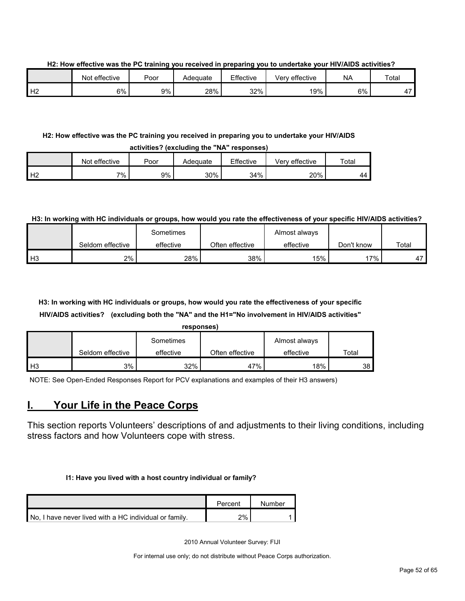**H2: How effective was the PC training you received in preparing you to undertake your HIV/AIDS activities?**

|                   | effective<br>Not | Poor | Adequate | Effective | Very effective | <b>NA</b> | Total                    |
|-------------------|------------------|------|----------|-----------|----------------|-----------|--------------------------|
| $\mathbf{L}$<br>∸ | 6%               | 9%   | 28%      | 32%       | 19%            | 6%        | $\overline{\phantom{a}}$ |

#### **H2: How effective was the PC training you received in preparing you to undertake your HIV/AIDS activities? (excluding the "NA" responses)**

| WYM INVYT IVAVIWMIIIW MIY TYI TYYYYYIIVYY |               |      |          |           |                |       |  |
|-------------------------------------------|---------------|------|----------|-----------|----------------|-------|--|
|                                           | Not effective | Poor | Adeɑuate | Effective | Verv effective | Total |  |
| . ⊢⊓<br>-                                 | 7% .          | 9%   | 30%      | 34%       | 20%            | 44    |  |

#### **H3: In working with HC individuals or groups, how would you rate the effectiveness of your specific HIV/AIDS activities?**

|                |                  | Sometimes |                 | Almost always |            |       |
|----------------|------------------|-----------|-----------------|---------------|------------|-------|
|                | Seldom effective | effective | Often effective | effective     | Don't know | Total |
| H <sub>3</sub> | 2%               | 28%       | 38%             | 15%           | 17%        | 17    |

# **H3: In working with HC individuals or groups, how would you rate the effectiveness of your specific HIV/AIDS activities? (excluding both the "NA" and the H1="No involvement in HIV/AIDS activities"**

|    |                  | responses) |                 |               |       |
|----|------------------|------------|-----------------|---------------|-------|
|    |                  | Sometimes  |                 | Almost always |       |
|    | Seldom effective | effective  | Often effective | effective     | Total |
| H3 | 3%               | 32%        | 47%             | 18%           | 38    |

NOTE: See Open-Ended Responses Report for PCV explanations and examples of their H3 answers)

# <span id="page-51-0"></span>**I. Your Life in the Peace Corps**

This section reports Volunteers' descriptions of and adjustments to their living conditions, including stress factors and how Volunteers cope with stress.

#### **I1: Have you lived with a host country individual or family?**

|                                                        | Percent | Number |
|--------------------------------------------------------|---------|--------|
| No, I have never lived with a HC individual or family. | $2\%$   |        |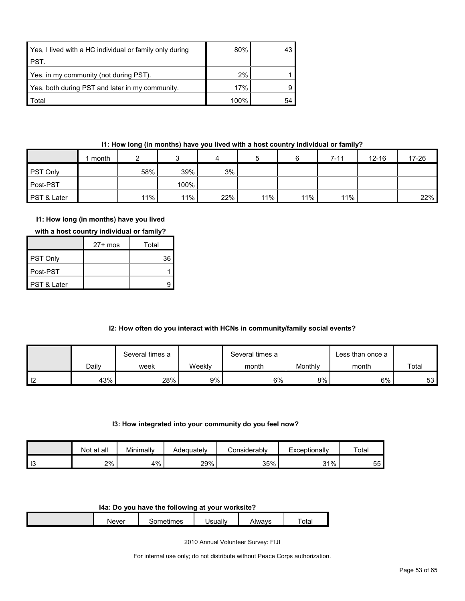| Yes, I lived with a HC individual or family only during | 80%  | 43 |
|---------------------------------------------------------|------|----|
| PST.                                                    |      |    |
| Yes, in my community (not during PST).                  | 2%   |    |
| Yes, both during PST and later in my community.         | 17%  |    |
| Total                                                   | 100% | 54 |

## **I1: How long (in months) have you lived with a host country individual or family?**

|                 | month |     |      | 4   |     |     | 7-11 | $12 - 16$ | $17 - 26$ |
|-----------------|-------|-----|------|-----|-----|-----|------|-----------|-----------|
| <b>PST Only</b> |       | 58% | 39%  | 3%  |     |     |      |           |           |
| Post-PST        |       |     | 100% |     |     |     |      |           |           |
| PST & Later     |       | 11% | 11%  | 22% | 11% | 11% | 11%  |           | 22%       |

# **I1: How long (in months) have you lived**

|  | with a host country individual or family? |
|--|-------------------------------------------|
|--|-------------------------------------------|

|                        | $27+$ mos | Total |
|------------------------|-----------|-------|
| PST Only               |           | 36    |
| ∎Post-PST              |           |       |
| <b>PST &amp; Later</b> |           |       |

# **I2: How often do you interact with HCNs in community/family social events?**

|                |       | Several times a |        | Several times a |         | ∟ess than once a |       |
|----------------|-------|-----------------|--------|-----------------|---------|------------------|-------|
|                | Daily | week            | Weekly | month           | Monthly | month            | Total |
| $\blacksquare$ | 43%   | 28%             | $9\%$  | 6%              | $8\%$   | 6%               | 53 I  |

#### **I3: How integrated into your community do you feel now?**

|                       | at all<br>Not. | Minimally | Adequatelv | ≿onsiderablv | Exceptionally | Total |
|-----------------------|----------------|-----------|------------|--------------|---------------|-------|
| $\overline{10}$<br>10 | 2%             | 4%        | 29%        | 35%          | 31%<br>ັບ     | 55    |

#### **I4a: Do you have the following at your worksite?**

| Never | umes<br>--<br>⋯<br> | <br>a Isually<br>ually | siway <sup>r</sup> | $  -$<br>otal |
|-------|---------------------|------------------------|--------------------|---------------|
|       |                     |                        |                    |               |

2010 Annual Volunteer Survey: FIJI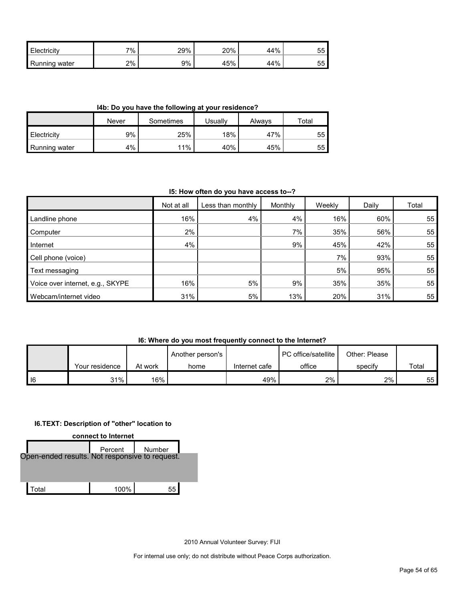| Electricity      | 7% | 29% | 20% | 44% | 55 |
|------------------|----|-----|-----|-----|----|
| Running<br>water | 2% | 9%  | 45% | 44% | 55 |

**I4b: Do you have the following at your residence?**

|                      | Never | Sometimes | Usuallv | Alwavs | Total |
|----------------------|-------|-----------|---------|--------|-------|
| <b>Electricity</b>   | 9%    | 25%       | 18%     | 47%    | 55    |
| <b>Running water</b> | 4%    | 11%       | 40%     | 45%    | 55    |

**I5: How often do you have access to--?**

|                                  | Not at all | Less than monthly | Monthly | Weekly | Daily | Total |
|----------------------------------|------------|-------------------|---------|--------|-------|-------|
| Landline phone                   | 16%        | 4%                | 4%      | 16%    | 60%   | 55    |
| Computer                         | $2\%$      |                   | $7\%$   | 35%    | 56%   | 55    |
| Internet                         | 4%         |                   | 9%      | 45%    | 42%   | 55    |
| Cell phone (voice)               |            |                   |         | 7%     | 93%   | 55    |
| Text messaging                   |            |                   |         | 5%     | 95%   | 55    |
| Voice over internet, e.g., SKYPE | 16%        | 5%                | 9%      | 35%    | 35%   | 55    |
| Webcam/internet video            | 31%        | 5%                | 13%     | 20%    | 31%   | 55    |

**I6: Where do you most frequently connect to the Internet?**

|      |                |         | Another person's |               | PC office/satellite | Other: Please |       |
|------|----------------|---------|------------------|---------------|---------------------|---------------|-------|
|      | Your residence | At work | home             | Internet cafe | office              | specify       | Total |
| I 16 | 31%            | 16%     |                  | 49%           | $2\%$               | 2%            | 55    |

#### **I6.TEXT: Description of "other" location to**



2010 Annual Volunteer Survey: FIJI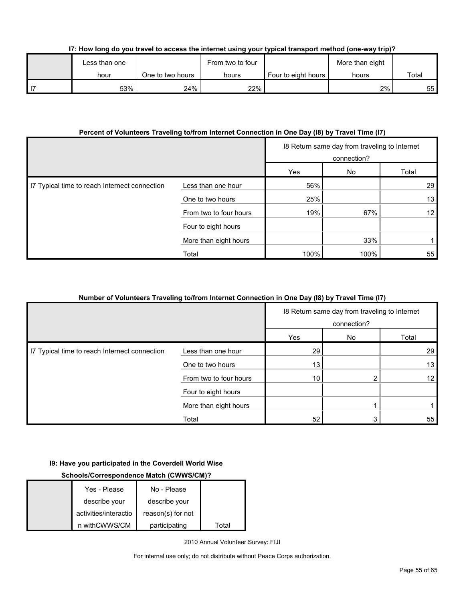| I7: How long do you travel to access the internet using your typical transport method (one-way trip)? |  |  |  |  |  |  |
|-------------------------------------------------------------------------------------------------------|--|--|--|--|--|--|
|                                                                                                       |  |  |  |  |  |  |

| Less than one |                  | From two to four |                       | More than eight |       |  |
|---------------|------------------|------------------|-----------------------|-----------------|-------|--|
| hour          | One to two hours | hours            | Four to eight hours I | hours           | Total |  |
| 53%           | 24%              | 22%              |                       | 2%              | 55    |  |

#### **Percent of Volunteers Traveling to/from Internet Connection in One Day (I8) by Travel Time (I7)**

|                                               |                        | 18 Return same day from traveling to Internet<br>connection? |      |                 |
|-----------------------------------------------|------------------------|--------------------------------------------------------------|------|-----------------|
|                                               |                        | Yes                                                          | No   | Total           |
| I7 Typical time to reach Internect connection | Less than one hour     | 56%                                                          |      | 29              |
|                                               | One to two hours       | 25%                                                          |      | 13              |
|                                               | From two to four hours | 19%                                                          | 67%  | 12 <sub>1</sub> |
|                                               | Four to eight hours    |                                                              |      |                 |
|                                               | More than eight hours  |                                                              | 33%  |                 |
|                                               | Total                  | 100%                                                         | 100% | 55              |

## **Number of Volunteers Traveling to/from Internet Connection in One Day (I8) by Travel Time (I7)**

|                                               |                        | 18 Return same day from traveling to Internet<br>connection? |    |                 |
|-----------------------------------------------|------------------------|--------------------------------------------------------------|----|-----------------|
|                                               |                        | Yes                                                          | No | Total           |
| I7 Typical time to reach Internect connection | Less than one hour     | 29                                                           |    | 29              |
|                                               | One to two hours       | 13                                                           |    | 13              |
|                                               | From two to four hours | 10                                                           |    | 12 <sub>1</sub> |
|                                               | Four to eight hours    |                                                              |    |                 |
|                                               | More than eight hours  |                                                              |    |                 |
|                                               | Total                  | 52                                                           |    | 55              |

#### **I9: Have you participated in the Coverdell World Wise**

# **Schools/Correspondence Match (CWWS/CM)?**

| Yes - Please          | No - Please       |       |
|-----------------------|-------------------|-------|
| describe your         | describe your     |       |
| activities/interactio | reason(s) for not |       |
| n withCWWS/CM         | participating     | Total |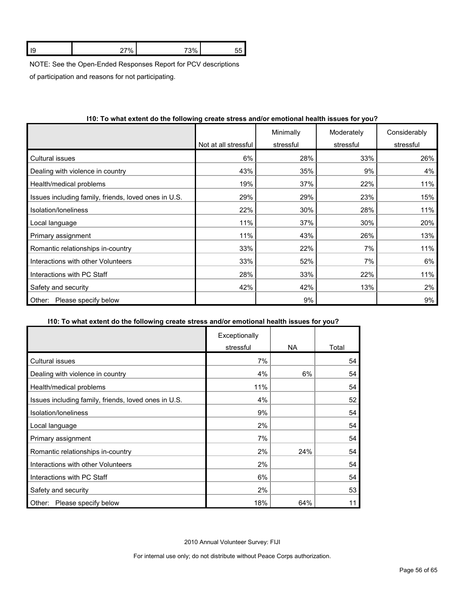|  | . |  |
|--|---|--|
|  |   |  |

NOTE: See the Open-Ended Responses Report for PCV descriptions

of participation and reasons for not participating.

|                                                      |                      | Minimally | Moderately | Considerably |
|------------------------------------------------------|----------------------|-----------|------------|--------------|
|                                                      | Not at all stressful | stressful | stressful  | stressful    |
| Cultural issues                                      | 6%                   | 28%       | 33%        | 26%          |
| Dealing with violence in country                     | 43%                  | 35%       | 9%         | 4%           |
| Health/medical problems                              | 19%                  | 37%       | 22%        | 11%          |
| Issues including family, friends, loved ones in U.S. | 29%                  | 29%       | 23%        | 15%          |
| Isolation/loneliness                                 | 22%                  | 30%       | 28%        | 11%          |
| Local language                                       | 11%                  | 37%       | 30%        | 20%          |
| Primary assignment                                   | 11%                  | 43%       | 26%        | 13%          |
| Romantic relationships in-country                    | 33%                  | 22%       | 7%         | 11%          |
| Interactions with other Volunteers                   | 33%                  | 52%       | 7%         | 6%           |
| Interactions with PC Staff                           | 28%                  | 33%       | 22%        | 11%          |
| Safety and security                                  | 42%                  | 42%       | 13%        | 2%           |
| Please specify below<br>Other:                       |                      | 9%        |            | 9%           |

## **I10: To what extent do the following create stress and/or emotional health issues for you?**

#### **I10: To what extent do the following create stress and/or emotional health issues for you?**

|                                                      | Exceptionally |     |       |
|------------------------------------------------------|---------------|-----|-------|
|                                                      | stressful     | NA. | Total |
| Cultural issues                                      | 7%            |     | 54    |
| Dealing with violence in country                     | 4%            | 6%  | 54    |
| Health/medical problems                              | 11%           |     | 54    |
| Issues including family, friends, loved ones in U.S. | 4%            |     | 52    |
| Isolation/loneliness                                 | 9%            |     | 54    |
| Local language                                       | 2%            |     | 54    |
| Primary assignment                                   | 7%            |     | 54    |
| Romantic relationships in-country                    | 2%            | 24% | 54    |
| Interactions with other Volunteers                   | 2%            |     | 54    |
| Interactions with PC Staff                           | 6%            |     | 54    |
| Safety and security                                  | 2%            |     | 53    |
| Please specify below<br>Other:                       | 18%           | 64% | 11    |

2010 Annual Volunteer Survey: FIJI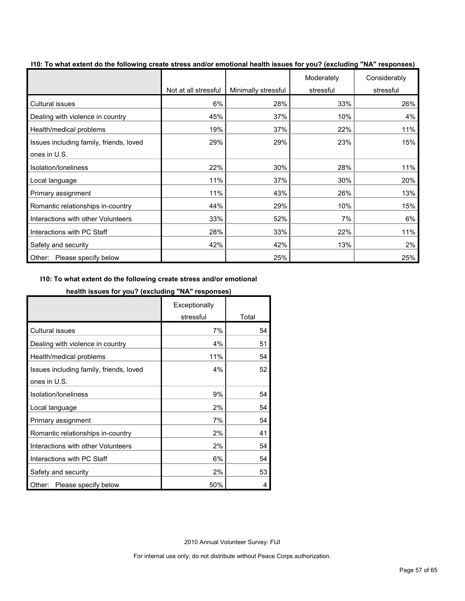| To must extent as the following create cubec | Not at all stressful | Minimally stressful | Moderately<br>stressful | Considerably<br>stressful |
|----------------------------------------------|----------------------|---------------------|-------------------------|---------------------------|
| <b>Cultural issues</b>                       | 6%                   | 28%                 | 33%                     | 26%                       |
| Dealing with violence in country             | 45%                  | 37%                 | 10%                     | 4%                        |
| Health/medical problems                      | 19%                  | 37%                 | 22%                     | 11%                       |
| Issues including family, friends, loved      | 29%                  | 29%                 | 23%                     | 15%                       |
| ones in U.S.                                 |                      |                     |                         |                           |
| Isolation/Ioneliness                         | 22%                  | 30%                 | 28%                     | 11%                       |
| Local language                               | 11%                  | 37%                 | 30%                     | 20%                       |
| Primary assignment                           | 11%                  | 43%                 | 26%                     | 13%                       |
| Romantic relationships in-country            | 44%                  | 29%                 | 10%                     | 15%                       |
| Interactions with other Volunteers           | 33%                  | 52%                 | 7%                      | 6%                        |
| Interactions with PC Staff                   | 28%                  | 33%                 | 22%                     | 11%                       |
| Safety and security                          | 42%                  | 42%                 | 13%                     | 2%                        |
| Please specify below<br>Other:               |                      | 25%                 |                         | 25%                       |

**I10: To what extent do the following create stress and/or emotional health issues for you? (excluding "NA" responses)**

#### **I10: To what extent do the following create stress and/or emotional**

#### **health issues for you? (excluding "NA" responses)**

|                                         | Exceptionally |       |
|-----------------------------------------|---------------|-------|
|                                         | stressful     | Total |
| <b>Cultural issues</b>                  | 7%            | 54    |
| Dealing with violence in country        | 4%            | 51    |
| Health/medical problems                 | 11%           | 54    |
| Issues including family, friends, loved | 4%            | 52    |
| ones in U.S.                            |               |       |
| Isolation/Ioneliness                    | 9%            | 54    |
| Local language                          | 2%            | 54    |
| Primary assignment                      | 7%            | 54    |
| Romantic relationships in-country       | 2%            | 41    |
| Interactions with other Volunteers      | 2%            | 54    |
| Interactions with PC Staff              | 6%            | 54    |
| Safety and security                     | 2%            | 53    |
| Please specify below<br>Other:          | 50%           | 4     |

2010 Annual Volunteer Survey: FIJI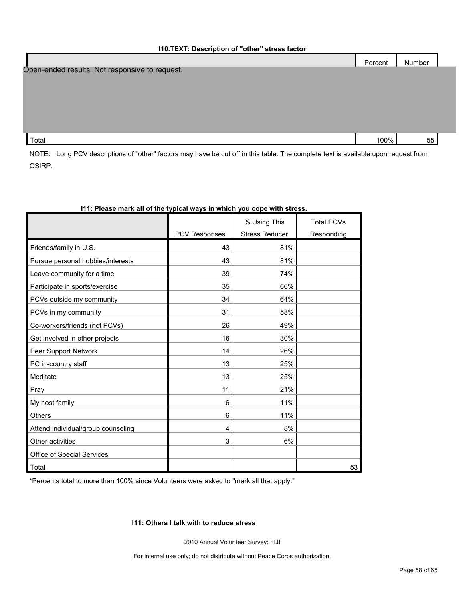|                                                | Percent | Number |  |
|------------------------------------------------|---------|--------|--|
| Open-ended results. Not responsive to request. |         |        |  |
|                                                |         |        |  |
|                                                |         |        |  |
|                                                |         |        |  |
|                                                |         |        |  |
|                                                |         |        |  |
| Total                                          | 100%    | 55     |  |
|                                                |         |        |  |

NOTE: Long PCV descriptions of "other" factors may have be cut off in this table. The complete text is available upon request from OSIRP.

|                                    | <b>PCV Responses</b> | % Using This<br><b>Stress Reducer</b> | <b>Total PCVs</b><br>Responding |
|------------------------------------|----------------------|---------------------------------------|---------------------------------|
| Friends/family in U.S.             | 43                   | 81%                                   |                                 |
| Pursue personal hobbies/interests  | 43                   | 81%                                   |                                 |
| Leave community for a time         | 39                   | 74%                                   |                                 |
| Participate in sports/exercise     | 35                   | 66%                                   |                                 |
| PCVs outside my community          | 34                   | 64%                                   |                                 |
| PCVs in my community               | 31                   | 58%                                   |                                 |
| Co-workers/friends (not PCVs)      | 26                   | 49%                                   |                                 |
| Get involved in other projects     | 16                   | 30%                                   |                                 |
| Peer Support Network               | 14                   | 26%                                   |                                 |
| PC in-country staff                | 13                   | 25%                                   |                                 |
| Meditate                           | 13                   | 25%                                   |                                 |
| Pray                               | 11                   | 21%                                   |                                 |
| My host family                     | 6                    | 11%                                   |                                 |
| <b>Others</b>                      | 6                    | 11%                                   |                                 |
| Attend individual/group counseling | 4                    | 8%                                    |                                 |
| Other activities                   | 3                    | 6%                                    |                                 |
| Office of Special Services         |                      |                                       |                                 |
| Total                              |                      |                                       | 53                              |

#### **I11: Please mark all of the typical ways in which you cope with stress.**

\*Percents total to more than 100% since Volunteers were asked to "mark all that apply."

#### **I11: Others I talk with to reduce stress**

2010 Annual Volunteer Survey: FIJI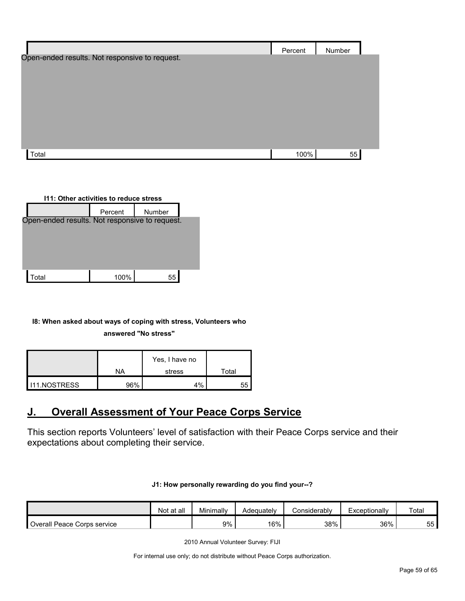|                                                | Percent | Number |  |
|------------------------------------------------|---------|--------|--|
| Open-ended results. Not responsive to request. |         |        |  |
|                                                |         |        |  |
|                                                |         |        |  |
|                                                |         |        |  |
|                                                |         |        |  |
|                                                |         |        |  |
|                                                |         |        |  |
| Total                                          | 100%    | 55     |  |

| 111: Other activities to reduce stress         |        |  |  |  |  |
|------------------------------------------------|--------|--|--|--|--|
| Percent                                        | Number |  |  |  |  |
| Open-ended results. Not responsive to request. |        |  |  |  |  |
|                                                |        |  |  |  |  |
|                                                |        |  |  |  |  |
|                                                |        |  |  |  |  |
|                                                |        |  |  |  |  |
| 100%                                           | 55     |  |  |  |  |
|                                                |        |  |  |  |  |

## **I8: When asked about ways of coping with stress, Volunteers who**

#### **answered "No stress"**

|                      |     | Yes, I have no |       |
|----------------------|-----|----------------|-------|
|                      | NA  | stress         | Total |
| <b>I</b> I1.NOSTRESS | 96% | 4%             | 55    |

# <span id="page-58-0"></span>**J. Overall Assessment of Your Peace Corps Service**

This section reports Volunteers' level of satisfaction with their Peace Corps service and their expectations about completing their service.

#### **J1: How personally rewarding do you find your--?**

|                             | Not at all | Minimally | Adeauatelv | <b>Considerably</b> | Exceptionally | Total |
|-----------------------------|------------|-----------|------------|---------------------|---------------|-------|
| Overall Peace Corps service |            | 9%        | 16%        | 38%                 | 36%           | 55    |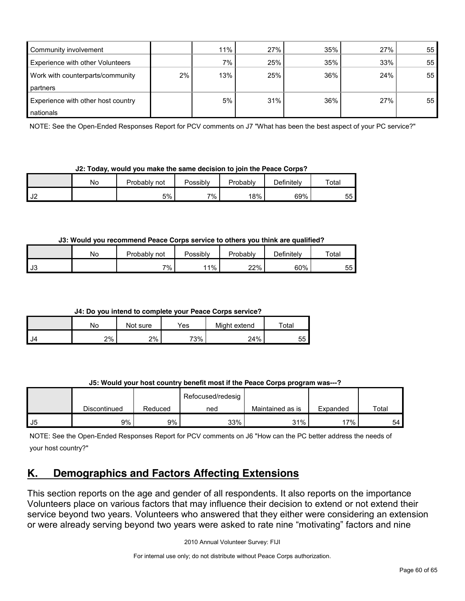| Community involvement                   |       | 11%   | 27% | 35% | 27% | 55 |
|-----------------------------------------|-------|-------|-----|-----|-----|----|
| <b>Experience with other Volunteers</b> |       | $7\%$ | 25% | 35% | 33% | 55 |
| Work with counterparts/community        | $2\%$ | 13%   | 25% | 36% | 24% | 55 |
| partners                                |       |       |     |     |     |    |
| Experience with other host country      |       | 5%    | 31% | 36% | 27% | 55 |
| nationals                               |       |       |     |     |     |    |

NOTE: See the Open-Ended Responses Report for PCV comments on J7 "What has been the best aspect of your PC service?"

#### **J2: Today, would you make the same decision to join the Peace Corps?**

|               | No | Probably <sub>L</sub><br>not | <sup>o</sup> ossiblv | Probably | Definitely | $\tau$ otal |
|---------------|----|------------------------------|----------------------|----------|------------|-------------|
| $\sim$<br>∣J∠ |    | 5%                           | 7%                   | 18%      | 69%        | 155<br>ບບ   |

#### **J3: Would you recommend Peace Corps service to others you think are qualified?**

|      | No | Probably<br>not | Possibly | Probably | Definitelv | Total      |
|------|----|-----------------|----------|----------|------------|------------|
| l J3 |    | 7% .            | 11%      | 22%      | 60%        | --<br>55 I |

**J4: Do you intend to complete your Peace Corps service?**

|      | No | Not sure | Yes | Might extend | $\tau$ otal |
|------|----|----------|-----|--------------|-------------|
| - J4 | 2% | 2%       | 73% | 24%          | 55          |

## **J5: Would your host country benefit most if the Peace Corps program was---?**

|      |              |         | Refocused/redesig |                  |          |       |
|------|--------------|---------|-------------------|------------------|----------|-------|
|      | Discontinued | Reduced | ned               | Maintained as is | Expanded | Total |
| l J5 | 9%           | 9%      | 33%               | 31%              | 17%      | 54    |

NOTE: See the Open-Ended Responses Report for PCV comments on J6 "How can the PC better address the needs of your host country?"

# **K. Demographics and Factors Affecting Extensions**

This section reports on the age and gender of all respondents. It also reports on the importance Volunteers place on various factors that may influence their decision to extend or not extend their service beyond two years. Volunteers who answered that they either were considering an extension or were already serving beyond two years were asked to rate nine "motivating" factors and nine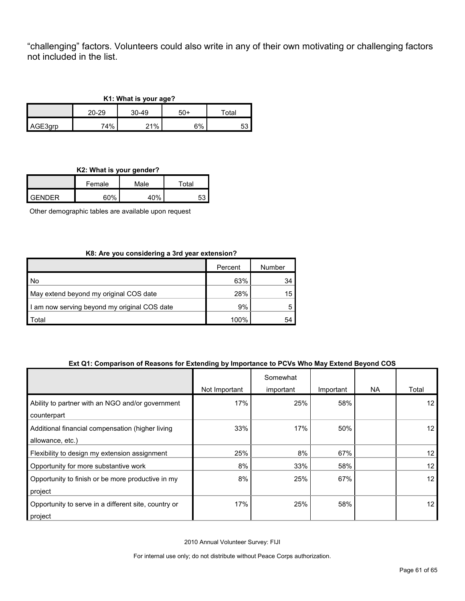"challenging" factors. Volunteers could also write in any of their own motivating or challenging factors not included in the list.

| K1: What is your age? |           |         |     |             |  |  |  |
|-----------------------|-----------|---------|-----|-------------|--|--|--|
|                       | $20 - 29$ | $30-49$ | 50+ | $\tau$ otal |  |  |  |
| AGE3qrp               | 74%       | 21%     | 6%  |             |  |  |  |

**K2: What is your gender?**

| --     |        |      |       |  |  |  |  |
|--------|--------|------|-------|--|--|--|--|
|        | Female | Male | Total |  |  |  |  |
| GENDER | ደሀል    | 40%  |       |  |  |  |  |

Other demographic tables are available upon request

# **K8: Are you considering a 3rd year extension?**

|                                              | Percent | Number |
|----------------------------------------------|---------|--------|
| No.                                          | 63%     | 34     |
| May extend beyond my original COS date       | 28%     | 15     |
| I am now serving beyond my original COS date | 9%      | 5      |
| ʻotal                                        | 100%    |        |

#### **Ext Q1: Comparison of Reasons for Extending by Importance to PCVs Who May Extend Beyond COS**

|                                                                      |               | Somewhat  |           |           |       |
|----------------------------------------------------------------------|---------------|-----------|-----------|-----------|-------|
|                                                                      | Not Important | important | Important | <b>NA</b> | Total |
| Ability to partner with an NGO and/or government<br>counterpart      | 17%           | 25%       | 58%       |           | 12    |
| Additional financial compensation (higher living<br>allowance, etc.) | 33%           | 17%       | 50%       |           | 12    |
| Flexibility to design my extension assignment                        | 25%           | 8%        | 67%       |           | 12    |
| Opportunity for more substantive work                                | 8%            | 33%       | 58%       |           | 12    |
| Opportunity to finish or be more productive in my<br>project         | 8%            | 25%       | 67%       |           | 12    |
| Opportunity to serve in a different site, country or<br>project      | 17%           | 25%       | 58%       |           | 12    |

2010 Annual Volunteer Survey: FIJI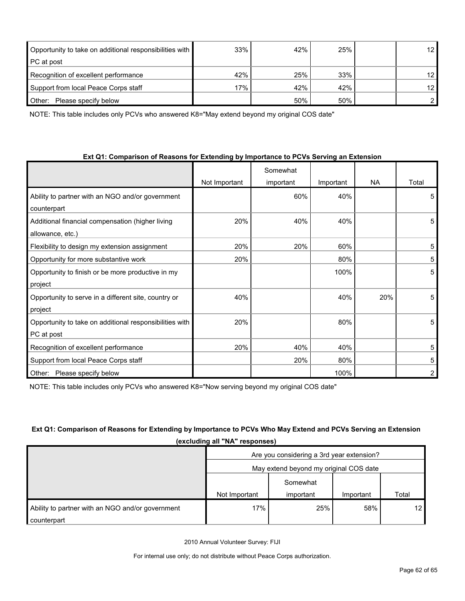| Opportunity to take on additional responsibilities with | 33% | 42% | 25% | 12 <sub>1</sub> |
|---------------------------------------------------------|-----|-----|-----|-----------------|
| <b>PC</b> at post                                       |     |     |     |                 |
| Recognition of excellent performance                    | 42% | 25% | 33% | 12 <sub>1</sub> |
| Support from local Peace Corps staff                    | 17% | 42% | 42% | 12 <sub>1</sub> |
| Other:<br>Please specify below                          |     | 50% | 50% |                 |

NOTE: This table includes only PCVs who answered K8="May extend beyond my original COS date"

#### **Ext Q1: Comparison of Reasons for Extending by Importance to PCVs Serving an Extension**

|                                                         | Not Important | Somewhat<br>important | Important | <b>NA</b> | Total |
|---------------------------------------------------------|---------------|-----------------------|-----------|-----------|-------|
| Ability to partner with an NGO and/or government        |               | 60%                   | 40%       |           | 5     |
| counterpart                                             |               |                       |           |           |       |
| Additional financial compensation (higher living        | 20%           | 40%                   | 40%       |           | 5     |
| allowance, etc.)                                        |               |                       |           |           |       |
| Flexibility to design my extension assignment           | 20%           | 20%                   | 60%       |           | 5     |
| Opportunity for more substantive work                   | 20%           |                       | 80%       |           | 5     |
| Opportunity to finish or be more productive in my       |               |                       | 100%      |           | 5     |
| project                                                 |               |                       |           |           |       |
| Opportunity to serve in a different site, country or    | 40%           |                       | 40%       | 20%       | 5     |
| project                                                 |               |                       |           |           |       |
| Opportunity to take on additional responsibilities with | 20%           |                       | 80%       |           | 5     |
| PC at post                                              |               |                       |           |           |       |
| Recognition of excellent performance                    | 20%           | 40%                   | 40%       |           | 5     |
| Support from local Peace Corps staff                    |               | 20%                   | 80%       |           | 5     |
| Please specify below<br>Other:                          |               |                       | 100%      |           |       |

NOTE: This table includes only PCVs who answered K8="Now serving beyond my original COS date"

# **Ext Q1: Comparison of Reasons for Extending by Importance to PCVs Who May Extend and PCVs Serving an Extension (excluding all "NA" responses)**

|                                                  | Are you considering a 3rd year extension? |           |           |                 |  |  |
|--------------------------------------------------|-------------------------------------------|-----------|-----------|-----------------|--|--|
|                                                  | May extend beyond my original COS date    |           |           |                 |  |  |
|                                                  |                                           | Somewhat  |           |                 |  |  |
|                                                  | Not Important                             | important | Important | Total           |  |  |
| Ability to partner with an NGO and/or government | 17%                                       | 25%       | 58%       | 12 <sup>°</sup> |  |  |
| counterpart                                      |                                           |           |           |                 |  |  |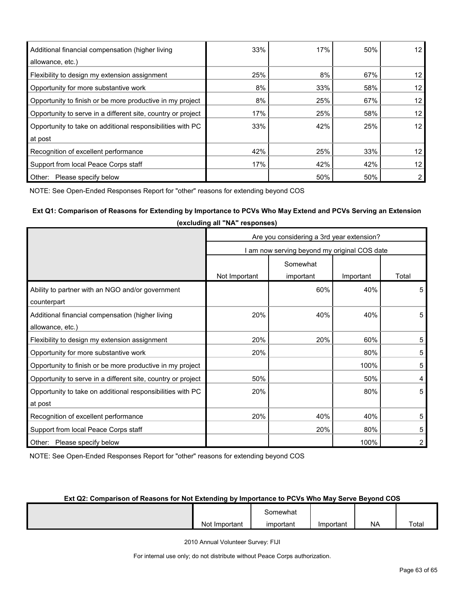| Additional financial compensation (higher living<br>allowance, etc.) | 33% | 17% | 50% | 12 <sup>1</sup> |
|----------------------------------------------------------------------|-----|-----|-----|-----------------|
| Flexibility to design my extension assignment                        | 25% | 8%  | 67% | 12 <sub>1</sub> |
| Opportunity for more substantive work                                | 8%  | 33% | 58% | 12 <sub>1</sub> |
| Opportunity to finish or be more productive in my project            | 8%  | 25% | 67% | 12 <sup>2</sup> |
| Opportunity to serve in a different site, country or project         | 17% | 25% | 58% | 12 <sub>1</sub> |
| Opportunity to take on additional responsibilities with PC           | 33% | 42% | 25% | 12              |
| at post                                                              |     |     |     |                 |
| Recognition of excellent performance                                 | 42% | 25% | 33% | 12 <sup>°</sup> |
| Support from local Peace Corps staff                                 | 17% | 42% | 42% | 12 <sub>1</sub> |
| Please specify below<br>Other:                                       |     | 50% | 50% |                 |

NOTE: See Open-Ended Responses Report for "other" reasons for extending beyond COS

# **Ext Q1: Comparison of Reasons for Extending by Importance to PCVs Who May Extend and PCVs Serving an Extension**

|                                                              | exeraamg an not reepensee                    |           |           |       |  |  |
|--------------------------------------------------------------|----------------------------------------------|-----------|-----------|-------|--|--|
|                                                              | Are you considering a 3rd year extension?    |           |           |       |  |  |
|                                                              | I am now serving beyond my original COS date |           |           |       |  |  |
|                                                              | Somewhat                                     |           |           |       |  |  |
|                                                              | Not Important                                | important | Important | Total |  |  |
| Ability to partner with an NGO and/or government             |                                              | 60%       | 40%       | 5     |  |  |
| counterpart                                                  |                                              |           |           |       |  |  |
| Additional financial compensation (higher living             | 20%                                          | 40%       | 40%       | 5     |  |  |
| allowance, etc.)                                             |                                              |           |           |       |  |  |
| Flexibility to design my extension assignment                | 20%                                          | 20%       | 60%       | 5     |  |  |
| Opportunity for more substantive work                        | 20%                                          |           | 80%       | 5     |  |  |
| Opportunity to finish or be more productive in my project    |                                              |           | 100%      | 5     |  |  |
| Opportunity to serve in a different site, country or project | 50%                                          |           | 50%       | 4     |  |  |
| Opportunity to take on additional responsibilities with PC   | 20%                                          |           | 80%       | 5     |  |  |
| at post                                                      |                                              |           |           |       |  |  |
| Recognition of excellent performance                         | 20%                                          | 40%       | 40%       | 5     |  |  |
| Support from local Peace Corps staff                         |                                              | 20%       | 80%       | 5     |  |  |
| Other: Please specify below                                  |                                              |           | 100%      | 2     |  |  |

**(excluding all "NA" responses)**

NOTE: See Open-Ended Responses Report for "other" reasons for extending beyond COS

# **Ext Q2: Comparison of Reasons for Not Extending by Importance to PCVs Who May Serve Beyond COS**

|                    | Somewhat  |           |           |       |
|--------------------|-----------|-----------|-----------|-------|
| Not<br>: Important | important | Important | <b>NA</b> | Total |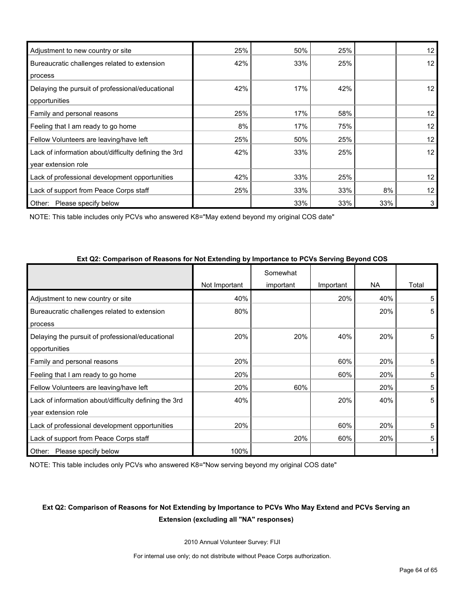| Adjustment to new country or site                     | 25% | 50% | 25% |     | 12 <sup>°</sup>   |
|-------------------------------------------------------|-----|-----|-----|-----|-------------------|
| Bureaucratic challenges related to extension          | 42% | 33% | 25% |     | 12 <sup>°</sup>   |
| process                                               |     |     |     |     |                   |
| Delaying the pursuit of professional/educational      | 42% | 17% | 42% |     | 12 <sup>2</sup>   |
| opportunities                                         |     |     |     |     |                   |
| Family and personal reasons                           | 25% | 17% | 58% |     | 12 <sup>°</sup>   |
| Feeling that I am ready to go home                    | 8%  | 17% | 75% |     | $12 \overline{ }$ |
| Fellow Volunteers are leaving/have left               | 25% | 50% | 25% |     | 12                |
| Lack of information about/difficulty defining the 3rd | 42% | 33% | 25% |     | 12 <sup>2</sup>   |
| year extension role                                   |     |     |     |     |                   |
| Lack of professional development opportunities        | 42% | 33% | 25% |     | 12 <sup>2</sup>   |
| Lack of support from Peace Corps staff                | 25% | 33% | 33% | 8%  | 12                |
| Please specify below<br>Other:                        |     | 33% | 33% | 33% | 3                 |

NOTE: This table includes only PCVs who answered K8="May extend beyond my original COS date"

| $\sim$ . The companion of Rodovic for Rot Extensing by importance to Ford our ring Doyona occur |               |           |           |           |       |
|-------------------------------------------------------------------------------------------------|---------------|-----------|-----------|-----------|-------|
|                                                                                                 |               | Somewhat  |           |           |       |
|                                                                                                 | Not Important | important | Important | <b>NA</b> | Total |
| Adjustment to new country or site                                                               | 40%           |           | 20%       | 40%       | 5     |
| Bureaucratic challenges related to extension                                                    | 80%           |           |           | 20%       | 5     |
| process                                                                                         |               |           |           |           |       |
| Delaying the pursuit of professional/educational                                                | 20%           | 20%       | 40%       | 20%       | 5     |
| opportunities                                                                                   |               |           |           |           |       |
| Family and personal reasons                                                                     | 20%           |           | 60%       | 20%       | 5     |
| Feeling that I am ready to go home                                                              | 20%           |           | 60%       | 20%       | 5     |
| Fellow Volunteers are leaving/have left                                                         | 20%           | 60%       |           | 20%       | 5     |
| Lack of information about/difficulty defining the 3rd                                           | 40%           |           | 20%       | 40%       | 5     |
| year extension role                                                                             |               |           |           |           |       |
| Lack of professional development opportunities                                                  | 20%           |           | 60%       | 20%       | 5     |
| Lack of support from Peace Corps staff                                                          |               | 20%       | 60%       | 20%       | 5     |
| Other: Please specify below                                                                     | 100%          |           |           |           |       |

**Ext Q2: Comparison of Reasons for Not Extending by Importance to PCVs Serving Beyond COS**

NOTE: This table includes only PCVs who answered K8="Now serving beyond my original COS date"

# **Ext Q2: Comparison of Reasons for Not Extending by Importance to PCVs Who May Extend and PCVs Serving an Extension (excluding all "NA" responses)**

2010 Annual Volunteer Survey: FIJI